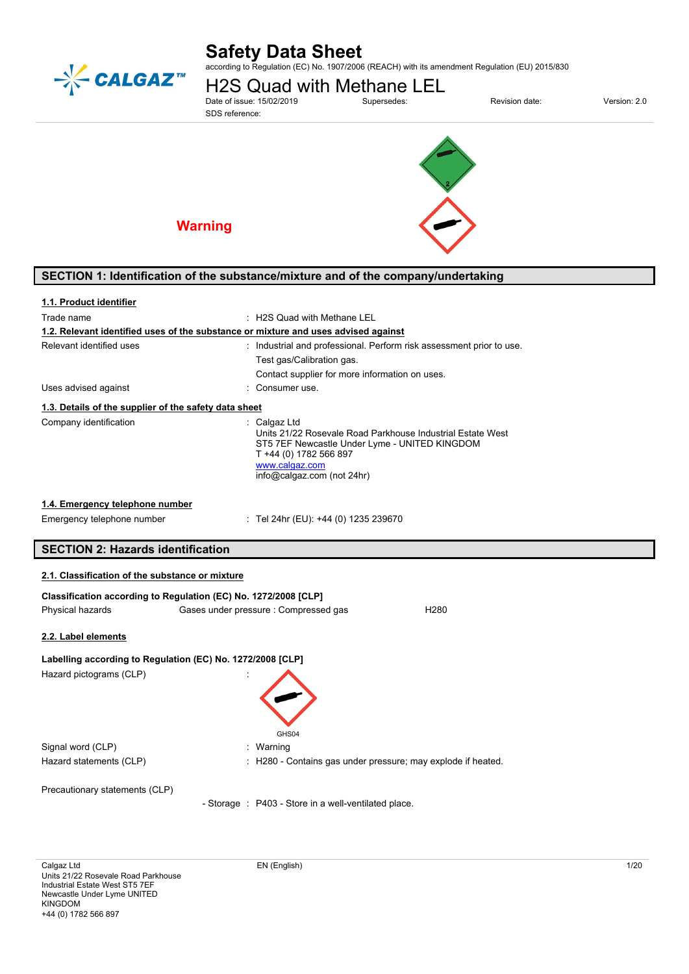

# **Safety Data Sheet**

according to Regulation (EC) No. 1907/2006 (REACH) with its amendment Regulation (EU) 2015/830

H2S Quad with Methane LEL<br>Date of issue: 15/02/2019<br>Supersedes: Date of issue: 15/02/2019 Supersedes: Revision date: Version: 2.0

SDS reference:





# **Warning**

# **SECTION 1: Identification of the substance/mixture and of the company/undertaking**

| 1.1. Product identifier                                         |                                                                                                                                                                                                       |  |
|-----------------------------------------------------------------|-------------------------------------------------------------------------------------------------------------------------------------------------------------------------------------------------------|--|
| Trade name                                                      | : H2S Quad with Methane LEL                                                                                                                                                                           |  |
|                                                                 | 1.2. Relevant identified uses of the substance or mixture and uses advised against                                                                                                                    |  |
| Relevant identified uses                                        | : Industrial and professional. Perform risk assessment prior to use.                                                                                                                                  |  |
|                                                                 | Test gas/Calibration gas.                                                                                                                                                                             |  |
|                                                                 | Contact supplier for more information on uses.                                                                                                                                                        |  |
| Uses advised against                                            | Consumer use.                                                                                                                                                                                         |  |
| 1.3. Details of the supplier of the safety data sheet           |                                                                                                                                                                                                       |  |
| Company identification                                          | : Calgaz Ltd<br>Units 21/22 Rosevale Road Parkhouse Industrial Estate West<br>ST5 7EF Newcastle Under Lyme - UNITED KINGDOM<br>T +44 (0) 1782 566 897<br>www.calgaz.com<br>info@calgaz.com (not 24hr) |  |
| 1.4. Emergency telephone number                                 |                                                                                                                                                                                                       |  |
| Emergency telephone number                                      | : Tel 24hr (EU): +44 (0) 1235 239670                                                                                                                                                                  |  |
| <b>SECTION 2: Hazards identification</b>                        |                                                                                                                                                                                                       |  |
| 2.1. Classification of the substance or mixture                 |                                                                                                                                                                                                       |  |
| Classification according to Regulation (EC) No. 1272/2008 [CLP] |                                                                                                                                                                                                       |  |
| Physical hazards                                                | Gases under pressure : Compressed gas<br>H <sub>280</sub>                                                                                                                                             |  |

#### **2.2. Label elements**

ſ

| Labelling according to Regulation (EC) No. 1272/2008 [CLP] |                                                              |  |  |
|------------------------------------------------------------|--------------------------------------------------------------|--|--|
| Hazard pictograms (CLP)                                    | $\cdot$<br>GHS04                                             |  |  |
| Signal word (CLP)                                          | : Warning                                                    |  |  |
| Hazard statements (CLP)                                    | : H280 - Contains gas under pressure; may explode if heated. |  |  |
| Precautionary statements (CLP)                             | - Storage : P403 - Store in a well-ventilated place.         |  |  |
|                                                            |                                                              |  |  |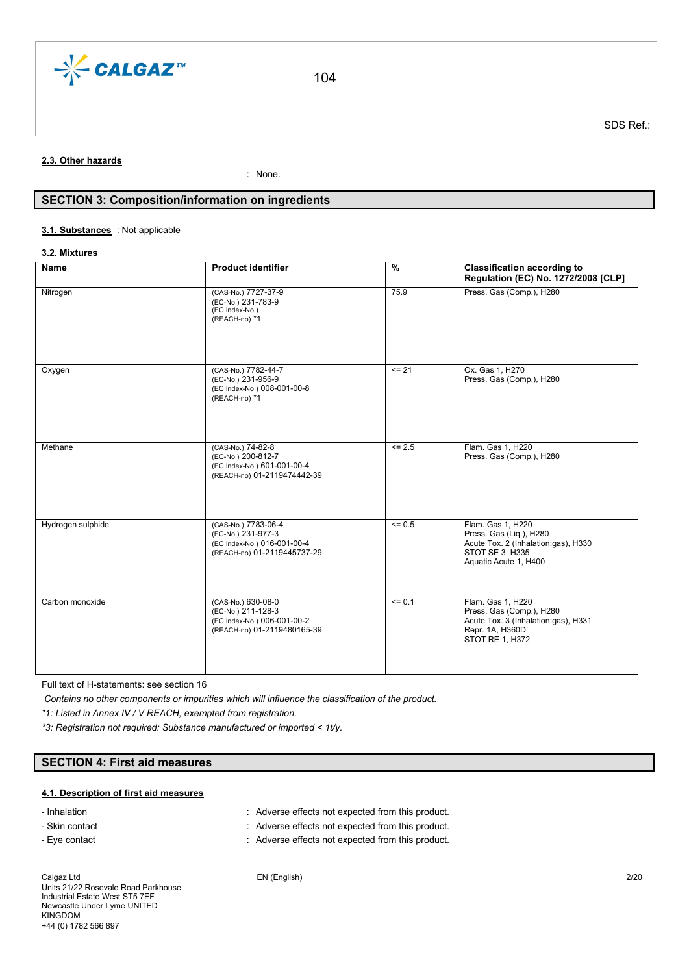

# **2.3. Other hazards**

: None.

# **SECTION 3: Composition/information on ingredients**

#### : Not applicable **3.1. Substances**

#### **3.2. Mixtures**

| Name              | <b>Product identifier</b>                                                                               | $\frac{9}{6}$        | <b>Classification according to</b><br>Regulation (EC) No. 1272/2008 [CLP]                                                       |
|-------------------|---------------------------------------------------------------------------------------------------------|----------------------|---------------------------------------------------------------------------------------------------------------------------------|
| Nitrogen          | (CAS-No.) 7727-37-9<br>(EC-No.) 231-783-9<br>(EC Index-No.)<br>(REACH-no) *1                            | 75.9                 | Press. Gas (Comp.), H280                                                                                                        |
| Oxygen            | (CAS-No.) 7782-44-7<br>(EC-No.) 231-956-9<br>(EC Index-No.) 008-001-00-8<br>(REACH-no) *1               | $= 21$               | Ox. Gas 1, H270<br>Press. Gas (Comp.), H280                                                                                     |
| Methane           | (CAS-No.) 74-82-8<br>(EC-No.) 200-812-7<br>(EC Index-No.) 601-001-00-4<br>(REACH-no) 01-2119474442-39   | $\overline{5}$ = 2.5 | Flam. Gas 1, H220<br>Press. Gas (Comp.), H280                                                                                   |
| Hydrogen sulphide | (CAS-No.) 7783-06-4<br>(EC-No.) 231-977-3<br>(EC Index-No.) 016-001-00-4<br>(REACH-no) 01-2119445737-29 | $= 0.5$              | Flam. Gas 1, H220<br>Press. Gas (Liq.), H280<br>Acute Tox. 2 (Inhalation:gas), H330<br>STOT SE 3, H335<br>Aquatic Acute 1, H400 |
| Carbon monoxide   | (CAS-No.) 630-08-0<br>(EC-No.) 211-128-3<br>(EC Index-No.) 006-001-00-2<br>(REACH-no) 01-2119480165-39  | $= 0.1$              | Flam. Gas 1, H220<br>Press. Gas (Comp.), H280<br>Acute Tox. 3 (Inhalation:gas), H331<br>Repr. 1A, H360D<br>STOT RE 1, H372      |

Full text of H-statements: see section 16

*Contains no other components or impurities which will influence the classification of the product.*

*\*1: Listed in Annex IV / V REACH, exempted from registration.*

*\*3: Registration not required: Substance manufactured or imported < 1t/y.*

# **SECTION 4: First aid measures**

### **4.1. Description of first aid measures**

- Inhalation : Adverse effects not expected from this product.

- Skin contact **in the contact in the contact of the contact in the contact of the contact of the contact of the contact of the contact of Adverse effects not expected from this product.**
- Eye contact **in the contact in the context of the context** : Adverse effects not expected from this product.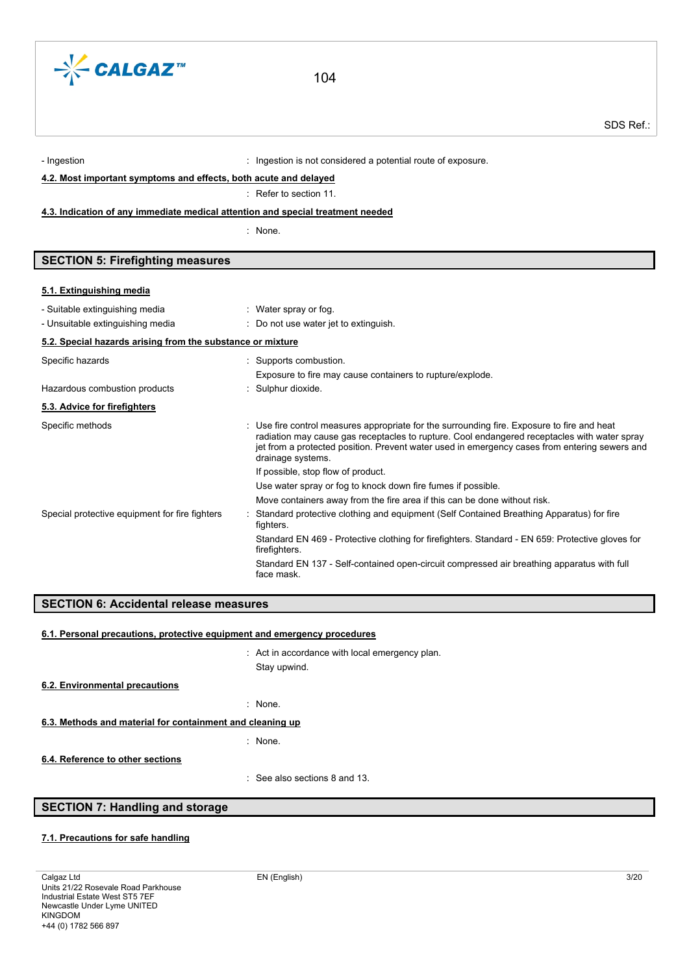

- Ingestion is not considered a potential route of exposure.

**4.2. Most important symptoms and effects, both acute and delayed**

# : Refer to section 11.

### **4.3. Indication of any immediate medical attention and special treatment needed**

: None.

# **SECTION 5: Firefighting measures**

#### **5.1. Extinguishing media**

| - Suitable extinguishing media                             | : Water spray or fog.                                                                                                                                                                                                                                                                                             |
|------------------------------------------------------------|-------------------------------------------------------------------------------------------------------------------------------------------------------------------------------------------------------------------------------------------------------------------------------------------------------------------|
| - Unsuitable extinguishing media                           | $\therefore$ Do not use water jet to extinguish.                                                                                                                                                                                                                                                                  |
| 5.2. Special hazards arising from the substance or mixture |                                                                                                                                                                                                                                                                                                                   |
| Specific hazards                                           | : Supports combustion.                                                                                                                                                                                                                                                                                            |
|                                                            | Exposure to fire may cause containers to rupture/explode.                                                                                                                                                                                                                                                         |
| Hazardous combustion products                              | : Sulphur dioxide.                                                                                                                                                                                                                                                                                                |
| 5.3. Advice for firefighters                               |                                                                                                                                                                                                                                                                                                                   |
| Specific methods                                           | : Use fire control measures appropriate for the surrounding fire. Exposure to fire and heat<br>radiation may cause gas receptacles to rupture. Cool endangered receptacles with water spray<br>jet from a protected position. Prevent water used in emergency cases from entering sewers and<br>drainage systems. |
|                                                            | If possible, stop flow of product.                                                                                                                                                                                                                                                                                |
|                                                            | Use water spray or fog to knock down fire fumes if possible.                                                                                                                                                                                                                                                      |
|                                                            | Move containers away from the fire area if this can be done without risk.                                                                                                                                                                                                                                         |
| Special protective equipment for fire fighters             | Standard protective clothing and equipment (Self Contained Breathing Apparatus) for fire<br>fighters.                                                                                                                                                                                                             |
|                                                            | Standard EN 469 - Protective clothing for firefighters. Standard - EN 659: Protective gloves for<br>firefighters.                                                                                                                                                                                                 |
|                                                            | Standard EN 137 - Self-contained open-circuit compressed air breathing apparatus with full<br>face mask.                                                                                                                                                                                                          |
|                                                            |                                                                                                                                                                                                                                                                                                                   |

# **SECTION 6: Accidental release measures**

#### **6.1. Personal precautions, protective equipment and emergency procedures**

: Act in accordance with local emergency plan. Stay upwind. : None. : None. : See also sections 8 and 13. **6.2. Environmental precautions 6.3. Methods and material for containment and cleaning up 6.4. Reference to other sections**

# **SECTION 7: Handling and storage**

# **7.1. Precautions for safe handling**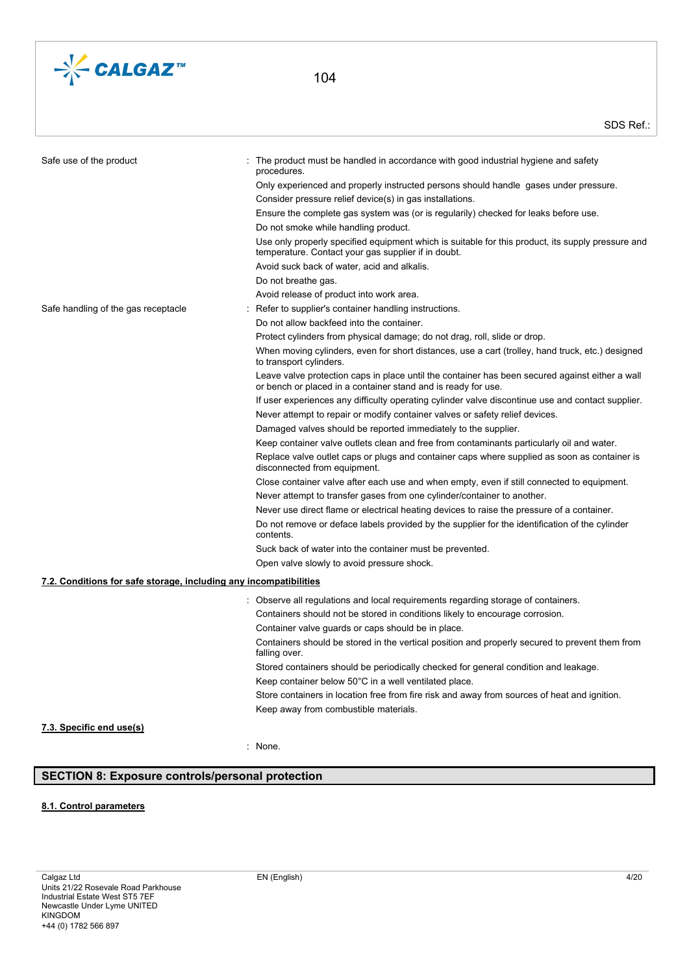

| Safe use of the product                                           | The product must be handled in accordance with good industrial hygiene and safety<br>procedures.                                                                 |
|-------------------------------------------------------------------|------------------------------------------------------------------------------------------------------------------------------------------------------------------|
|                                                                   | Only experienced and properly instructed persons should handle gases under pressure.                                                                             |
|                                                                   | Consider pressure relief device(s) in gas installations.                                                                                                         |
|                                                                   | Ensure the complete gas system was (or is regularily) checked for leaks before use.                                                                              |
|                                                                   | Do not smoke while handling product.                                                                                                                             |
|                                                                   | Use only properly specified equipment which is suitable for this product, its supply pressure and<br>temperature. Contact your gas supplier if in doubt.         |
|                                                                   | Avoid suck back of water, acid and alkalis.                                                                                                                      |
|                                                                   | Do not breathe gas.                                                                                                                                              |
|                                                                   | Avoid release of product into work area.                                                                                                                         |
| Safe handling of the gas receptacle                               | Refer to supplier's container handling instructions.                                                                                                             |
|                                                                   | Do not allow backfeed into the container.                                                                                                                        |
|                                                                   | Protect cylinders from physical damage; do not drag, roll, slide or drop.                                                                                        |
|                                                                   | When moving cylinders, even for short distances, use a cart (trolley, hand truck, etc.) designed<br>to transport cylinders.                                      |
|                                                                   | Leave valve protection caps in place until the container has been secured against either a wall<br>or bench or placed in a container stand and is ready for use. |
|                                                                   | If user experiences any difficulty operating cylinder valve discontinue use and contact supplier.                                                                |
|                                                                   | Never attempt to repair or modify container valves or safety relief devices.                                                                                     |
|                                                                   | Damaged valves should be reported immediately to the supplier.                                                                                                   |
|                                                                   | Keep container valve outlets clean and free from contaminants particularly oil and water.                                                                        |
|                                                                   | Replace valve outlet caps or plugs and container caps where supplied as soon as container is<br>disconnected from equipment.                                     |
|                                                                   | Close container valve after each use and when empty, even if still connected to equipment.                                                                       |
|                                                                   | Never attempt to transfer gases from one cylinder/container to another.                                                                                          |
|                                                                   | Never use direct flame or electrical heating devices to raise the pressure of a container.                                                                       |
|                                                                   | Do not remove or deface labels provided by the supplier for the identification of the cylinder<br>contents.                                                      |
|                                                                   | Suck back of water into the container must be prevented.                                                                                                         |
|                                                                   | Open valve slowly to avoid pressure shock.                                                                                                                       |
| 7.2. Conditions for safe storage, including any incompatibilities |                                                                                                                                                                  |
|                                                                   | : Observe all regulations and local requirements regarding storage of containers.                                                                                |
|                                                                   | Containers should not be stored in conditions likely to encourage corrosion.                                                                                     |
|                                                                   | Container valve guards or caps should be in place.                                                                                                               |
|                                                                   | Containers should be stored in the vertical position and properly secured to prevent them from<br>falling over.                                                  |
|                                                                   | Stored containers should be periodically checked for general condition and leakage.                                                                              |
|                                                                   | Keep container below 50°C in a well ventilated place.                                                                                                            |
|                                                                   | Store containers in location free from fire risk and away from sources of heat and ignition.                                                                     |
|                                                                   | Keep away from combustible materials.                                                                                                                            |
| 7.3. Specific end use(s)                                          |                                                                                                                                                                  |

#### : None.

# **SECTION 8: Exposure controls/personal protection**

# **8.1. Control parameters**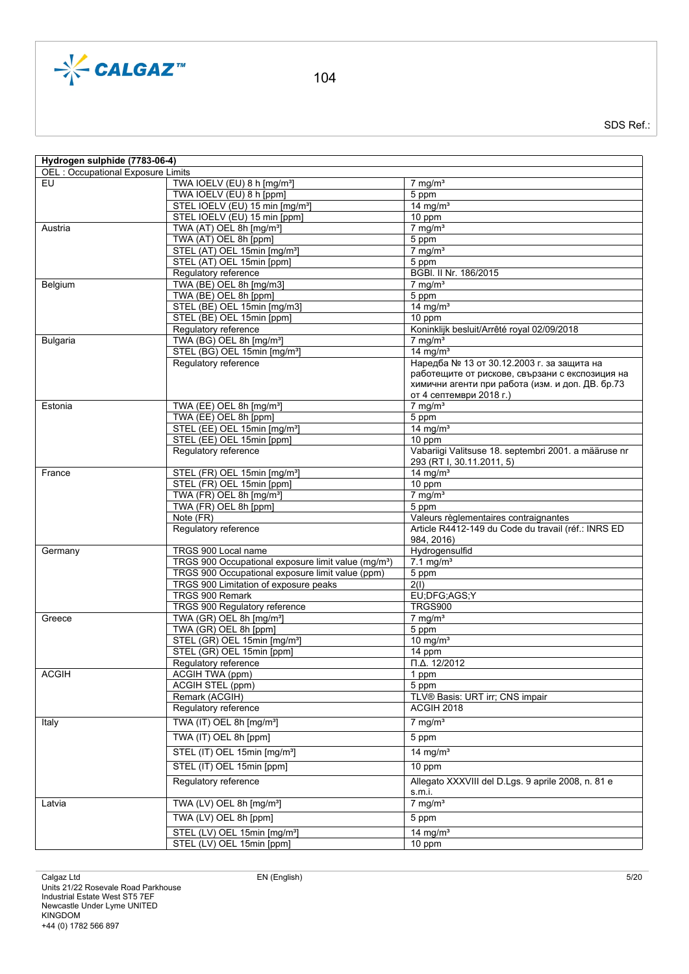

| Hydrogen sulphide (7783-06-4)            |                                                                   |                                                      |
|------------------------------------------|-------------------------------------------------------------------|------------------------------------------------------|
| OEL : Occupational Exposure Limits<br>EU | TWA IOELV (EU) 8 h [mg/m <sup>3</sup> ]                           | $7 \text{ mg/m}^3$                                   |
|                                          | TWA IOELV (EU) 8 h [ppm]                                          | 5 ppm                                                |
|                                          | STEL IOELV (EU) 15 min [mg/m <sup>3</sup> ]                       | $14$ mg/m <sup>3</sup>                               |
|                                          | STEL IOELV (EU) 15 min [ppm]                                      | 10 ppm                                               |
| Austria                                  | TWA (AT) OEL 8h [mg/m <sup>3</sup> ]                              | $7$ mg/m <sup>3</sup>                                |
|                                          | TWA (AT) OEL 8h [ppm]                                             | 5 ppm                                                |
|                                          | STEL (AT) OEL 15min [mg/m <sup>3</sup> ]                          | $7$ mg/m <sup>3</sup>                                |
|                                          | STEL (AT) OEL 15min [ppm]                                         | 5 ppm                                                |
|                                          | Regulatory reference                                              | BGBI. II Nr. 186/2015                                |
| Belgium                                  | TWA (BE) OEL 8h [mg/m3]                                           | $7$ mg/m <sup>3</sup>                                |
|                                          | TWA (BE) OEL 8h [ppm]                                             | 5 ppm                                                |
|                                          | STEL (BE) OEL 15min [mg/m3]                                       | $14$ mg/m <sup>3</sup>                               |
|                                          | STEL (BE) OEL 15min [ppm]                                         | 10 ppm                                               |
|                                          | Regulatory reference                                              | Koninklijk besluit/Arrêté royal 02/09/2018           |
| Bulgaria                                 | TWA (BG) OEL 8h [mg/m <sup>3</sup> ]                              | $7$ mg/m <sup>3</sup>                                |
|                                          | STEL (BG) OEL 15min [mg/m <sup>3</sup> ]                          | 14 mg/ $m3$                                          |
|                                          | Regulatory reference                                              | Наредба № 13 от 30.12.2003 г. за защита на           |
|                                          |                                                                   | работещите от рискове, свързани с експозиция на      |
|                                          |                                                                   | химични агенти при работа (изм. и доп. ДВ. бр.73     |
|                                          |                                                                   | от 4 септември 2018 г.)                              |
| Estonia                                  | TWA (EE) OEL 8h [mg/m <sup>3</sup> ]                              | $7$ mg/m <sup>3</sup>                                |
|                                          | TWA (EE) OEL 8h [ppm]<br>STEL (EE) OEL 15min [mg/m <sup>3</sup> ] | 5 ppm<br>14 mg/ $m3$                                 |
|                                          | STEL (EE) OEL 15min [ppm]                                         | 10 ppm                                               |
|                                          | Regulatory reference                                              | Vabariigi Valitsuse 18. septembri 2001. a määruse nr |
|                                          |                                                                   | 293 (RT I, 30.11.2011, 5)                            |
| France                                   | STEL (FR) OEL 15min [mg/m <sup>3</sup> ]                          | $14$ mg/m <sup>3</sup>                               |
|                                          | STEL (FR) OEL 15min [ppm]                                         | 10 ppm                                               |
|                                          | TWA (FR) OEL 8h [mg/m <sup>3</sup> ]                              | $7 \text{ mg/m}^3$                                   |
|                                          | TWA (FR) OEL 8h [ppm]                                             | 5 ppm                                                |
|                                          | Note (FR)                                                         | Valeurs règlementaires contraignantes                |
|                                          | Regulatory reference                                              | Article R4412-149 du Code du travail (réf.: INRS ED  |
|                                          |                                                                   | 984, 2016)                                           |
| Germany                                  | TRGS 900 Local name                                               | Hydrogensulfid                                       |
|                                          | TRGS 900 Occupational exposure limit value (mg/m <sup>3</sup> )   | $7.1 \text{ mg/m}^3$                                 |
|                                          | TRGS 900 Occupational exposure limit value (ppm)                  | 5 ppm                                                |
|                                          | TRGS 900 Limitation of exposure peaks                             | 2(1)                                                 |
|                                          | TRGS 900 Remark                                                   | EU;DFG;AGS;Y                                         |
|                                          | TRGS 900 Regulatory reference                                     | <b>TRGS900</b>                                       |
| Greece                                   | TWA (GR) OEL 8h [mg/m <sup>3</sup> ]                              | $7$ mg/m <sup>3</sup>                                |
|                                          | TWA (GR) OEL 8h [ppm]                                             | 5 ppm                                                |
|                                          | STEL (GR) OEL 15min [mg/m <sup>3</sup> ]                          | 10 mg/ $m3$                                          |
|                                          | STEL (GR) OEL 15min [ppm]<br>Regulatory reference                 | $\overline{14}$ ppm<br>$\Pi$ . $\Delta$ . 12/2012    |
| <b>ACGIH</b>                             | ACGIH TWA (ppm)                                                   | 1 ppm                                                |
|                                          | <b>ACGIH STEL (ppm)</b>                                           | 5 ppm                                                |
|                                          | Remark (ACGIH)                                                    | TLV® Basis: URT irr; CNS impair                      |
|                                          | Regulatory reference                                              | ACGIH 2018                                           |
|                                          |                                                                   |                                                      |
| Italy                                    | TWA (IT) OEL 8h [mg/m <sup>3</sup> ]                              | $7 \text{ mg/m}^3$                                   |
|                                          | TWA (IT) OEL 8h [ppm]                                             | 5 ppm                                                |
|                                          | STEL (IT) OEL 15min [mg/m <sup>3</sup> ]                          | $\overline{14}$ mg/m <sup>3</sup>                    |
|                                          | STEL (IT) OEL 15min [ppm]                                         | 10 ppm                                               |
|                                          |                                                                   |                                                      |
|                                          | Regulatory reference                                              | Allegato XXXVIII del D.Lgs. 9 aprile 2008, n. 81 e   |
| Latvia                                   | TWA (LV) OEL 8h [mg/m <sup>3</sup> ]                              | s.m.i.<br>$7$ mg/m <sup>3</sup>                      |
|                                          |                                                                   |                                                      |
|                                          | TWA (LV) OEL 8h [ppm]                                             | 5 ppm                                                |
|                                          | STEL (LV) OEL 15min [mg/m <sup>3</sup> ]                          | $14$ mg/m <sup>3</sup>                               |
|                                          | STEL (LV) OEL 15min [ppm]                                         | 10 ppm                                               |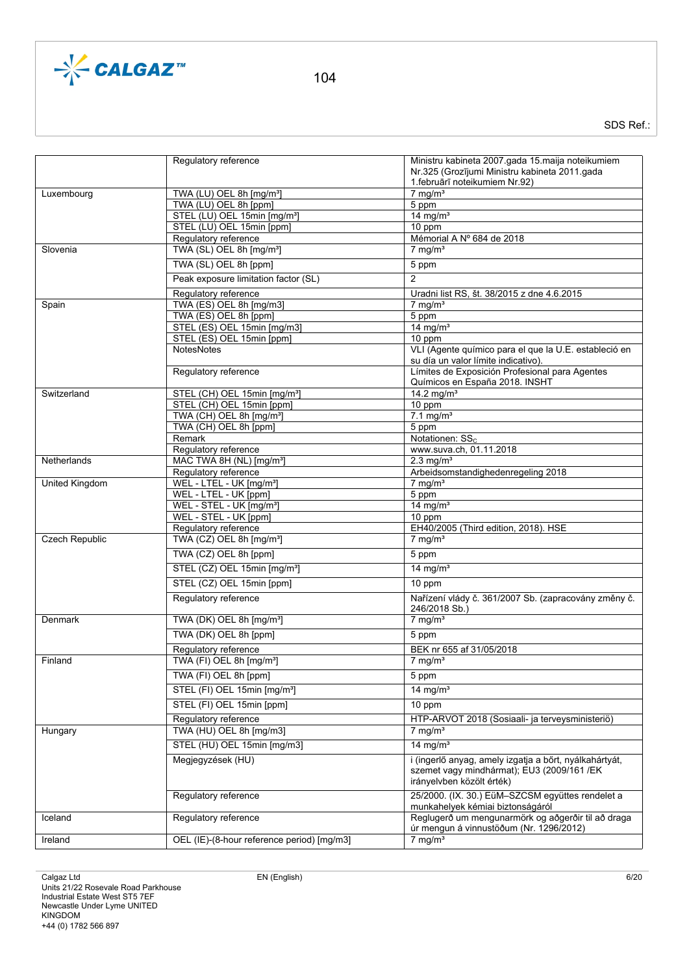

|                       | Regulatory reference                       | Ministru kabineta 2007.gada 15.maija noteikumiem<br>Nr.325 (Grozījumi Ministru kabineta 2011.gada                                 |
|-----------------------|--------------------------------------------|-----------------------------------------------------------------------------------------------------------------------------------|
|                       |                                            | 1. februārī noteikumiem Nr.92)                                                                                                    |
| Luxembourg            | TWA (LU) OEL 8h [mg/m <sup>3</sup> ]       | $7$ mg/m <sup>3</sup>                                                                                                             |
|                       | TWA (LU) OEL 8h [ppm]                      | 5 ppm                                                                                                                             |
|                       | STEL (LU) OEL 15min [mg/m <sup>3</sup> ]   | $14 \text{ mg/m}^3$                                                                                                               |
|                       | STEL (LU) OEL 15min [ppm]                  | 10 ppm                                                                                                                            |
|                       | Regulatory reference                       | Mémorial A Nº 684 de 2018                                                                                                         |
| Slovenia              | TWA (SL) OEL 8h [mg/m <sup>3</sup> ]       | $7 \text{ mg/m}^3$                                                                                                                |
|                       | TWA (SL) OEL 8h [ppm]                      | 5 ppm                                                                                                                             |
|                       | Peak exposure limitation factor (SL)       | $\overline{2}$                                                                                                                    |
|                       | Regulatory reference                       | Uradni list RS, št. 38/2015 z dne 4.6.2015                                                                                        |
| Spain                 | TWA (ES) OEL 8h [mg/m3]                    | $7$ mg/m <sup>3</sup>                                                                                                             |
|                       | TWA (ES) OEL 8h [ppm]                      | 5 ppm                                                                                                                             |
|                       | STEL (ES) OEL 15min [mg/m3]                | $14$ mg/m <sup>3</sup>                                                                                                            |
|                       | STEL (ES) OEL 15min [ppm]                  | $10$ ppm                                                                                                                          |
|                       | <b>NotesNotes</b>                          | VLI (Agente químico para el que la U.E. estableció en                                                                             |
|                       |                                            | su día un valor límite indicativo).                                                                                               |
|                       | Regulatory reference                       | Límites de Exposición Profesional para Agentes                                                                                    |
|                       |                                            | Químicos en España 2018. INSHT                                                                                                    |
| Switzerland           | STEL (CH) OEL 15min [mg/m <sup>3</sup> ]   | 14.2 mg/m <sup>3</sup>                                                                                                            |
|                       | STEL (CH) OEL 15min [ppm]                  | 10 ppm                                                                                                                            |
|                       | TWA (CH) OEL 8h [mg/m <sup>3</sup> ]       | $7.1 \text{ mg/m}^3$                                                                                                              |
|                       | TWA (CH) OEL 8h [ppm]                      | 5 ppm                                                                                                                             |
|                       | Remark                                     | Notationen: SS <sub>c</sub>                                                                                                       |
|                       | Regulatory reference                       | www.suva.ch, 01.11.2018                                                                                                           |
|                       | MAC TWA 8H (NL) [mg/m <sup>3</sup> ]       | $2.3$ mg/m <sup>3</sup>                                                                                                           |
| Netherlands           |                                            |                                                                                                                                   |
|                       | Regulatory reference                       | Arbeidsomstandighedenregeling 2018                                                                                                |
| United Kingdom        | WEL - LTEL - UK [mg/m <sup>3</sup> ]       | $7$ mg/m <sup>3</sup>                                                                                                             |
|                       | WEL - LTEL - UK [ppm]                      | 5 ppm                                                                                                                             |
|                       | WEL - STEL - UK [mg/m <sup>3</sup> ]       | $14$ mg/m <sup>3</sup>                                                                                                            |
|                       | WEL - STEL - UK [ppm]                      | 10 ppm                                                                                                                            |
|                       | Regulatory reference                       | EH40/2005 (Third edition, 2018). HSE                                                                                              |
| <b>Czech Republic</b> | TWA (CZ) OEL 8h [mg/m <sup>3</sup> ]       | $7$ mg/m <sup>3</sup>                                                                                                             |
|                       | TWA (CZ) OEL 8h [ppm]                      | 5 ppm                                                                                                                             |
|                       | STEL (CZ) OEL 15min [mg/m <sup>3</sup> ]   | 14 mg/ $m3$                                                                                                                       |
|                       | STEL (CZ) OEL 15min [ppm]                  | 10 ppm                                                                                                                            |
|                       | Regulatory reference                       | Nařízení vlády č. 361/2007 Sb. (zapracovány změny č.<br>246/2018 Sb.)                                                             |
| Denmark               | TWA (DK) OEL 8h [mg/m <sup>3</sup> ]       | $7$ mg/m <sup>3</sup>                                                                                                             |
|                       | TWA (DK) OEL 8h [ppm]                      | 5 ppm                                                                                                                             |
|                       |                                            |                                                                                                                                   |
|                       | Regulatory reference                       | BEK nr 655 af 31/05/2018                                                                                                          |
| Finland               | TWA (FI) OEL 8h [mg/m <sup>3</sup> ]       | $7$ mg/m <sup>3</sup>                                                                                                             |
|                       | TWA (FI) OEL 8h [ppm]                      | 5 ppm                                                                                                                             |
|                       | STEL (FI) OEL 15min [mg/m <sup>3</sup> ]   | 14 mg/ $m3$                                                                                                                       |
|                       | STEL (FI) OEL 15min [ppm]                  | 10 ppm                                                                                                                            |
|                       | Regulatory reference                       | HTP-ARVOT 2018 (Sosiaali- ja terveysministeriö)                                                                                   |
| Hungary               | TWA (HU) OEL 8h [mg/m3]                    | $7$ mg/m <sup>3</sup>                                                                                                             |
|                       | STEL (HU) OEL 15min [mg/m3]                | 14 mg/ $m3$                                                                                                                       |
|                       | Megjegyzések (HU)                          | i (ingerlő anyag, amely izgatja a bőrt, nyálkahártyát,<br>szemet vagy mindhármat); EU3 (2009/161 /EK<br>irányelvben közölt érték) |
|                       | Regulatory reference                       | 25/2000. (IX. 30.) EüM-SZCSM együttes rendelet a<br>munkahelyek kémiai biztonságáról                                              |
| Iceland               | Regulatory reference                       | Reglugerð um mengunarmörk og aðgerðir til að draga<br>úr mengun á vinnustöðum (Nr. 1296/2012)                                     |
| Ireland               | OEL (IE)-(8-hour reference period) [mg/m3] | $7$ mg/m <sup>3</sup>                                                                                                             |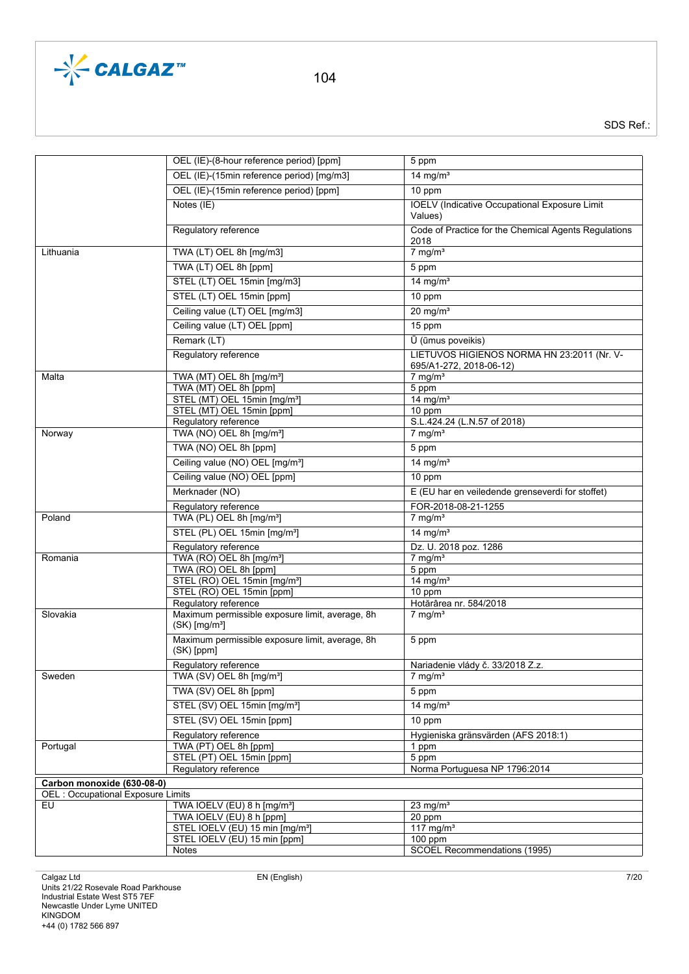

|                                                                  | OEL (IE)-(8-hour reference period) [ppm]                              | 5 ppm                                                                 |
|------------------------------------------------------------------|-----------------------------------------------------------------------|-----------------------------------------------------------------------|
|                                                                  |                                                                       |                                                                       |
|                                                                  | OEL (IE)-(15min reference period) [mg/m3]                             | 14 mg/ $m3$                                                           |
|                                                                  | OEL (IE)-(15min reference period) [ppm]                               | 10 ppm                                                                |
|                                                                  | Notes (IE)                                                            | IOELV (Indicative Occupational Exposure Limit<br>Values)              |
|                                                                  | Regulatory reference                                                  | Code of Practice for the Chemical Agents Regulations                  |
|                                                                  |                                                                       | 2018                                                                  |
| Lithuania                                                        | TWA (LT) OEL 8h [mg/m3]                                               | $7 \overline{\text{mg/m}^3}$                                          |
|                                                                  | TWA (LT) OEL 8h [ppm]                                                 | 5 ppm                                                                 |
|                                                                  | STEL (LT) OEL 15min [mg/m3]                                           | $14 \text{ mg/m}^3$                                                   |
|                                                                  | STEL (LT) OEL 15min [ppm]                                             | 10 ppm                                                                |
|                                                                  | Ceiling value (LT) OEL [mg/m3]                                        | $20$ mg/m <sup>3</sup>                                                |
|                                                                  | Ceiling value (LT) OEL [ppm]                                          | 15 ppm                                                                |
|                                                                  | Remark (LT)                                                           | U (ūmus poveikis)                                                     |
|                                                                  | Regulatory reference                                                  | LIETUVOS HIGIENOS NORMA HN 23:2011 (Nr. V-<br>695/A1-272, 2018-06-12) |
| Malta                                                            | TWA (MT) OEL 8h [mg/m <sup>3</sup> ]                                  | $7$ mg/m <sup>3</sup>                                                 |
|                                                                  | TWA (MT) OEL 8h [ppm]                                                 | 5 ppm                                                                 |
|                                                                  | STEL (MT) OEL 15min [mg/m <sup>3</sup> ]                              | 14 mg/ $m3$                                                           |
|                                                                  | STEL (MT) OEL 15min [ppm]                                             | 10 ppm                                                                |
|                                                                  | Regulatory reference                                                  | S.L.424.24 (L.N.57 of 2018)                                           |
| Norway                                                           | TWA (NO) OEL 8h [mg/m <sup>3</sup> ]                                  | $7$ mg/m <sup>3</sup>                                                 |
|                                                                  | TWA (NO) OEL 8h [ppm]                                                 | 5 ppm                                                                 |
|                                                                  | Ceiling value (NO) OEL [mg/m <sup>3</sup> ]                           | 14 mg/ $m3$                                                           |
|                                                                  | Ceiling value (NO) OEL [ppm]                                          | 10 ppm                                                                |
|                                                                  | Merknader (NO)                                                        | E (EU har en veiledende grenseverdi for stoffet)                      |
|                                                                  | Regulatory reference                                                  | FOR-2018-08-21-1255                                                   |
| Poland                                                           | TWA (PL) OEL 8h [mg/m <sup>3</sup> ]                                  | $7$ mg/m <sup>3</sup>                                                 |
|                                                                  | STEL (PL) OEL 15min [mg/m <sup>3</sup> ]                              | 14 mg/ $m3$                                                           |
|                                                                  | Regulatory reference                                                  | Dz. U. 2018 poz. 1286                                                 |
| Romania                                                          | TWA (RO) OEL 8h [mg/m <sup>3</sup> ]                                  | $7$ mg/m <sup>3</sup>                                                 |
|                                                                  | TWA (RO) OEL 8h [ppm]                                                 | 5 ppm                                                                 |
|                                                                  | STEL (RO) OEL 15min [mg/m <sup>3</sup> ]<br>STEL (RO) OEL 15min [ppm] | 14 mg/ $m3$<br>10 ppm                                                 |
|                                                                  | Regulatory reference                                                  | Hotărârea nr. 584/2018                                                |
| Slovakia                                                         | Maximum permissible exposure limit, average, 8h                       | $7$ mg/m <sup>3</sup>                                                 |
|                                                                  | $(SK)$ [mg/m <sup>3</sup> ]                                           |                                                                       |
|                                                                  | Maximum permissible exposure limit, average, 8h<br>(SK) [ppm]         | 5 ppm                                                                 |
|                                                                  | Regulatory reference                                                  | Nariadenie vlády č. 33/2018 Z.z.                                      |
| Sweden                                                           | TWA (SV) OEL 8h [mg/m <sup>3</sup> ]                                  | $7 \text{ mg/m}^3$                                                    |
|                                                                  | TWA (SV) OEL 8h [ppm]                                                 | 5 ppm                                                                 |
|                                                                  | STEL (SV) OEL 15min [mg/m <sup>3</sup> ]                              | 14 mg/ $m3$                                                           |
|                                                                  | STEL (SV) OEL 15min [ppm]                                             | 10 ppm                                                                |
|                                                                  | Regulatory reference                                                  | Hygieniska gränsvärden (AFS 2018:1)                                   |
| Portugal                                                         | TWA (PT) OEL 8h [ppm]                                                 | 1 ppm                                                                 |
|                                                                  | STEL (PT) OEL 15min [ppm]<br>Regulatory reference                     | 5 ppm<br>Norma Portuguesa NP 1796:2014                                |
|                                                                  |                                                                       |                                                                       |
| Carbon monoxide (630-08-0)<br>OEL : Occupational Exposure Limits |                                                                       |                                                                       |
| EU                                                               | TWA IOELV (EU) 8 h [mg/m <sup>3</sup> ]                               | $23$ mg/m <sup>3</sup>                                                |
|                                                                  | TWA IOELV (EU) 8 h [ppm]                                              | 20 ppm                                                                |
|                                                                  | STEL IOELV (EU) 15 min [mg/m <sup>3</sup> ]                           | 117 mg/m <sup>3</sup>                                                 |
|                                                                  | STEL IOELV (EU) 15 min [ppm]                                          | $100$ ppm                                                             |
|                                                                  | Notes                                                                 | SCOEL Recommendations (1995)                                          |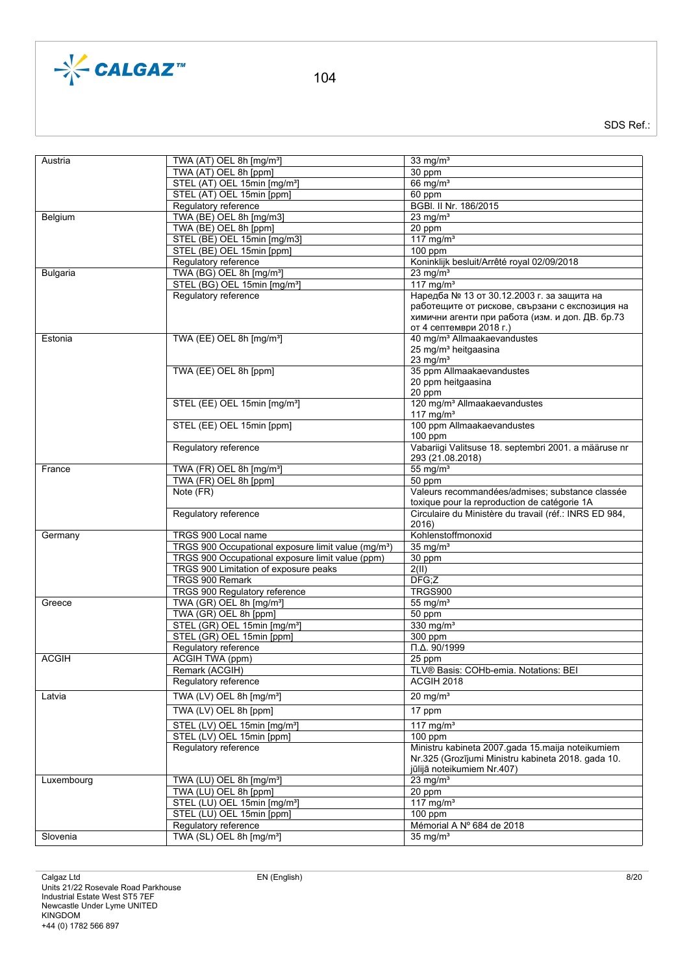

| Austria         | TWA (AT) OEL 8h [mg/m <sup>3</sup> ]                            | 33 mg/ $m3$                                            |
|-----------------|-----------------------------------------------------------------|--------------------------------------------------------|
|                 | TWA (AT) OEL 8h [ppm]                                           | 30 ppm                                                 |
|                 | STEL (AT) OEL 15min [mg/m <sup>3</sup> ]                        | 66 mg/m <sup>3</sup>                                   |
|                 |                                                                 |                                                        |
|                 | STEL (AT) OEL 15min [ppm]                                       | 60 ppm                                                 |
|                 | Regulatory reference                                            | BGBI. II Nr. 186/2015                                  |
| Belgium         | TWA (BE) OEL 8h [mg/m3]                                         | 23 mg/ $m3$                                            |
|                 | TWA (BE) OEL 8h [ppm]                                           | 20 ppm                                                 |
|                 |                                                                 | 117 mg/m $3$                                           |
|                 | STEL (BE) OEL 15min [mg/m3]                                     |                                                        |
|                 | STEL (BE) OEL 15min [ppm]                                       | $100$ ppm                                              |
|                 | Regulatory reference                                            | Koninklijk besluit/Arrêté royal 02/09/2018             |
| <b>Bulgaria</b> | TWA (BG) OEL 8h [mg/m <sup>3</sup> ]                            | $23$ mg/m <sup>3</sup>                                 |
|                 | STEL (BG) OEL 15min [mg/m <sup>3</sup> ]                        | 117 mg/m <sup>3</sup>                                  |
|                 |                                                                 |                                                        |
|                 | Regulatory reference                                            | Наредба № 13 от 30.12.2003 г. за защита на             |
|                 |                                                                 | работещите от рискове, свързани с експозиция на        |
|                 |                                                                 | химични агенти при работа (изм. и доп. ДВ. бр.73       |
|                 |                                                                 | от 4 септември 2018 г.)                                |
| Estonia         | TWA (EE) OEL 8h [mg/m <sup>3</sup> ]                            | 40 mg/m <sup>3</sup> Allmaakaevandustes                |
|                 |                                                                 |                                                        |
|                 |                                                                 | 25 mg/m <sup>3</sup> heitgaasina                       |
|                 |                                                                 | 23 mg/ $m3$                                            |
|                 | TWA (EE) OEL 8h [ppm]                                           | 35 ppm Allmaakaevandustes                              |
|                 |                                                                 | 20 ppm heitgaasina                                     |
|                 |                                                                 | 20 ppm                                                 |
|                 | STEL (EE) OEL 15min [mg/m <sup>3</sup> ]                        | 120 mg/m <sup>3</sup> Allmaakaevandustes               |
|                 |                                                                 |                                                        |
|                 |                                                                 | 117 $mg/m3$                                            |
|                 | STEL (EE) OEL 15min [ppm]                                       | 100 ppm Allmaakaevandustes                             |
|                 |                                                                 | $100$ ppm                                              |
|                 | Regulatory reference                                            | Vabariigi Valitsuse 18. septembri 2001. a määruse nr   |
|                 |                                                                 | 293 (21.08.2018)                                       |
|                 |                                                                 |                                                        |
| France          | TWA (FR) OEL 8h [mg/m <sup>3</sup> ]                            | $55 \text{ mg/m}^3$                                    |
|                 | TWA (FR) OEL 8h [ppm]                                           | 50 ppm                                                 |
|                 | Note (FR)                                                       | Valeurs recommandées/admises; substance classée        |
|                 |                                                                 | toxique pour la reproduction de catégorie 1A           |
|                 | Regulatory reference                                            | Circulaire du Ministère du travail (réf.: INRS ED 984, |
|                 |                                                                 |                                                        |
|                 |                                                                 | 2016)                                                  |
| Germany         | TRGS 900 Local name                                             | Kohlenstoffmonoxid                                     |
|                 | TRGS 900 Occupational exposure limit value (mg/m <sup>3</sup> ) | $35$ mg/m <sup>3</sup>                                 |
|                 | TRGS 900 Occupational exposure limit value (ppm)                | 30 ppm                                                 |
|                 |                                                                 |                                                        |
|                 |                                                                 |                                                        |
|                 | TRGS 900 Limitation of exposure peaks                           | 2(II)                                                  |
|                 | TRGS 900 Remark                                                 | DFG:Z                                                  |
|                 | TRGS 900 Regulatory reference                                   | <b>TRGS900</b>                                         |
| Greece          |                                                                 |                                                        |
|                 | TWA (GR) OEL 8h [mg/m <sup>3</sup> ]                            | 55 mg/ $m3$                                            |
|                 | TWA (GR) OEL 8h [ppm]                                           | 50 ppm                                                 |
|                 | STEL (GR) OEL 15min [mg/m <sup>3</sup> ]                        | 330 mg/ $m3$                                           |
|                 | STEL (GR) OEL 15min [ppm]                                       | 300 ppm                                                |
|                 | Regulatory reference                                            | $\Pi.\Delta. 90/1999$                                  |
| <b>ACGIH</b>    |                                                                 |                                                        |
|                 | <b>ACGIH TWA (ppm)</b>                                          | 25 ppm                                                 |
|                 | Remark (ACGIH)                                                  | TLV® Basis: COHb-emia. Notations: BEI                  |
|                 | Regulatory reference                                            | ACGIH 2018                                             |
|                 |                                                                 |                                                        |
| Latvia          | TWA (LV) OEL 8h [mg/m <sup>3</sup> ]                            | $20$ mg/m <sup>3</sup>                                 |
|                 | TWA (LV) OEL 8h [ppm]                                           | 17 ppm                                                 |
|                 |                                                                 |                                                        |
|                 | STEL (LV) OEL 15min [mg/m <sup>3</sup> ]                        | 117 mg/ $m3$                                           |
|                 | STEL (LV) OEL 15min [ppm]                                       | $100$ ppm                                              |
|                 | Regulatory reference                                            | Ministru kabineta 2007.gada 15.maija noteikumiem       |
|                 |                                                                 | Nr.325 (Grozījumi Ministru kabineta 2018. gada 10.     |
|                 |                                                                 |                                                        |
|                 |                                                                 | jūlijā noteikumiem Nr.407)                             |
| Luxembourg      | TWA (LU) OEL 8h [mg/m <sup>3</sup> ]                            | $23$ mg/m <sup>3</sup>                                 |
|                 | TWA (LU) OEL 8h [ppm]                                           | 20 ppm                                                 |
|                 | STEL (LU) OEL 15min [mg/m <sup>3</sup> ]                        | 117 mg/m $3$                                           |
|                 |                                                                 |                                                        |
|                 | STEL (LU) OEL 15min [ppm]                                       | $100$ ppm                                              |
| Slovenia        | Regulatory reference<br>TWA (SL) OEL 8h [mg/m <sup>3</sup> ]    | Mémorial A Nº 684 de 2018<br>$35 \text{ mg/m}^3$       |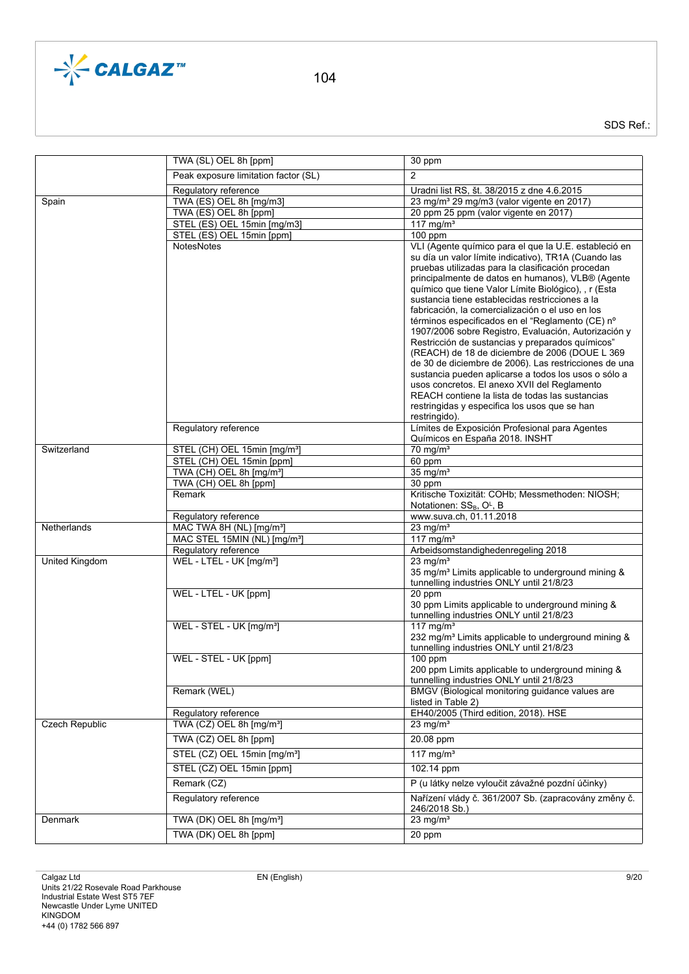

|                | TWA (SL) OEL 8h [ppm]                    | 30 ppm                                                                                                                                                                                                                                                                                                                                                                                                                                                                                                                                                 |
|----------------|------------------------------------------|--------------------------------------------------------------------------------------------------------------------------------------------------------------------------------------------------------------------------------------------------------------------------------------------------------------------------------------------------------------------------------------------------------------------------------------------------------------------------------------------------------------------------------------------------------|
|                | Peak exposure limitation factor (SL)     | $\overline{2}$                                                                                                                                                                                                                                                                                                                                                                                                                                                                                                                                         |
|                | Regulatory reference                     | Uradni list RS, št. 38/2015 z dne 4.6.2015                                                                                                                                                                                                                                                                                                                                                                                                                                                                                                             |
| Spain          | TWA (ES) OEL 8h [mg/m3]                  | 23 mg/m <sup>3</sup> 29 mg/m3 (valor vigente en 2017)                                                                                                                                                                                                                                                                                                                                                                                                                                                                                                  |
|                | TWA (ES) OEL 8h [ppm]                    | 20 ppm 25 ppm (valor vigente en 2017)                                                                                                                                                                                                                                                                                                                                                                                                                                                                                                                  |
|                | STEL (ES) OEL 15min [mg/m3]              | $117 \text{ mg/m}^3$                                                                                                                                                                                                                                                                                                                                                                                                                                                                                                                                   |
|                | STEL (ES) OEL 15min [ppm]                | $100$ ppm                                                                                                                                                                                                                                                                                                                                                                                                                                                                                                                                              |
|                | <b>NotesNotes</b>                        | VLI (Agente químico para el que la U.E. estableció en<br>su día un valor límite indicativo), TR1A (Cuando las<br>pruebas utilizadas para la clasificación procedan<br>principalmente de datos en humanos), VLB® (Agente<br>químico que tiene Valor Límite Biológico), , r (Esta<br>sustancia tiene establecidas restricciones a la<br>fabricación, la comercialización o el uso en los<br>términos especificados en el "Reglamento (CE) nº<br>1907/2006 sobre Registro, Evaluación, Autorización y<br>Restricción de sustancias y preparados químicos" |
|                | Regulatory reference                     | (REACH) de 18 de diciembre de 2006 (DOUE L 369<br>de 30 de diciembre de 2006). Las restricciones de una<br>sustancia pueden aplicarse a todos los usos o sólo a<br>usos concretos. El anexo XVII del Reglamento<br>REACH contiene la lista de todas las sustancias<br>restringidas y especifica los usos que se han<br>restringido).                                                                                                                                                                                                                   |
|                |                                          | Límites de Exposición Profesional para Agentes<br>Químicos en España 2018. INSHT                                                                                                                                                                                                                                                                                                                                                                                                                                                                       |
| Switzerland    | STEL (CH) OEL 15min [mg/m <sup>3</sup> ] | $70$ mg/m <sup>3</sup>                                                                                                                                                                                                                                                                                                                                                                                                                                                                                                                                 |
|                | STEL (CH) OEL 15min [ppm]                | 60 ppm                                                                                                                                                                                                                                                                                                                                                                                                                                                                                                                                                 |
|                | TWA (CH) OEL 8h [mg/m <sup>3</sup> ]     | $35 \text{ mg/m}^3$                                                                                                                                                                                                                                                                                                                                                                                                                                                                                                                                    |
|                | TWA (CH) OEL 8h [ppm]                    | 30 ppm                                                                                                                                                                                                                                                                                                                                                                                                                                                                                                                                                 |
|                | Remark                                   | Kritische Toxizität: COHb; Messmethoden: NIOSH;<br>Notationen: SS <sub>B</sub> , O <sup>L</sup> , B                                                                                                                                                                                                                                                                                                                                                                                                                                                    |
|                | Regulatory reference                     | www.suva.ch, 01.11.2018                                                                                                                                                                                                                                                                                                                                                                                                                                                                                                                                |
| Netherlands    | MAC TWA 8H (NL) [mg/m <sup>3</sup> ]     | 23 mg/ $m3$                                                                                                                                                                                                                                                                                                                                                                                                                                                                                                                                            |
|                | MAC STEL 15MIN (NL) [mg/m <sup>3</sup> ] | 117 mg/ $m3$                                                                                                                                                                                                                                                                                                                                                                                                                                                                                                                                           |
|                | Regulatory reference                     | Arbeidsomstandighedenregeling 2018                                                                                                                                                                                                                                                                                                                                                                                                                                                                                                                     |
| United Kingdom | WEL - LTEL - UK [mg/m <sup>3</sup> ]     | 23 mg/ $m3$<br>35 mg/m <sup>3</sup> Limits applicable to underground mining &<br>tunnelling industries ONLY until 21/8/23                                                                                                                                                                                                                                                                                                                                                                                                                              |
|                | WEL - LTEL - UK [ppm]                    | 20 ppm<br>30 ppm Limits applicable to underground mining &<br>tunnelling industries ONLY until 21/8/23                                                                                                                                                                                                                                                                                                                                                                                                                                                 |
|                | WEL - STEL - UK [mg/m <sup>3</sup> ]     | 117 mg/m <sup>3</sup><br>232 mg/m <sup>3</sup> Limits applicable to underground mining &<br>tunnelling industries ONLY until 21/8/23                                                                                                                                                                                                                                                                                                                                                                                                                   |
|                | WEL - STEL - UK [ppm]                    | 100 ppm<br>200 ppm Limits applicable to underground mining &<br>tunnelling industries ONLY until 21/8/23                                                                                                                                                                                                                                                                                                                                                                                                                                               |
|                | Remark (WEL)                             | BMGV (Biological monitoring guidance values are<br>listed in Table 2)                                                                                                                                                                                                                                                                                                                                                                                                                                                                                  |
|                | Regulatory reference                     | EH40/2005 (Third edition, 2018). HSE                                                                                                                                                                                                                                                                                                                                                                                                                                                                                                                   |
| Czech Republic | TWA (CZ) OEL 8h [mg/m <sup>3</sup> ]     | 23 mg/ $m3$                                                                                                                                                                                                                                                                                                                                                                                                                                                                                                                                            |
|                | TWA (CZ) OEL 8h [ppm]                    | 20.08 ppm                                                                                                                                                                                                                                                                                                                                                                                                                                                                                                                                              |
|                | STEL (CZ) OEL 15min [mg/m <sup>3</sup> ] | 117 mg/m <sup>3</sup>                                                                                                                                                                                                                                                                                                                                                                                                                                                                                                                                  |
|                | STEL (CZ) OEL 15min [ppm]                | 102.14 ppm                                                                                                                                                                                                                                                                                                                                                                                                                                                                                                                                             |
|                | Remark (CZ)                              | P (u látky nelze vyloučit závažné pozdní účinky)                                                                                                                                                                                                                                                                                                                                                                                                                                                                                                       |
|                | Regulatory reference                     | Nařízení vlády č. 361/2007 Sb. (zapracovány změny č.<br>246/2018 Sb.)                                                                                                                                                                                                                                                                                                                                                                                                                                                                                  |
|                |                                          |                                                                                                                                                                                                                                                                                                                                                                                                                                                                                                                                                        |
| Denmark        | TWA (DK) OEL 8h [mg/m <sup>3</sup> ]     | 23 mg/ $m3$                                                                                                                                                                                                                                                                                                                                                                                                                                                                                                                                            |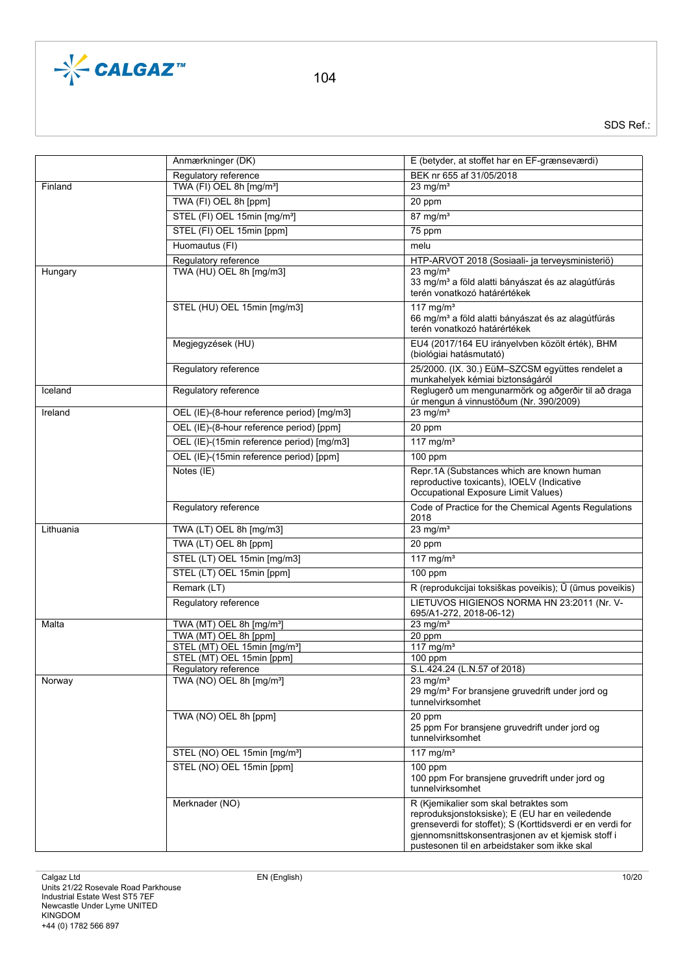

|           | Anmærkninger (DK)                                                     | E (betyder, at stoffet har en EF-grænseværdi)                                                                                                                                                                                                                |
|-----------|-----------------------------------------------------------------------|--------------------------------------------------------------------------------------------------------------------------------------------------------------------------------------------------------------------------------------------------------------|
|           | Regulatory reference                                                  | BEK nr 655 af 31/05/2018                                                                                                                                                                                                                                     |
| Finland   | TWA (FI) OEL 8h [mg/m <sup>3</sup> ]                                  | $23 \text{ mg/m}^3$                                                                                                                                                                                                                                          |
|           | TWA (FI) OEL 8h [ppm]                                                 | 20 ppm                                                                                                                                                                                                                                                       |
|           | STEL (FI) OEL 15min [mg/m <sup>3</sup> ]                              | $87$ mg/m <sup>3</sup>                                                                                                                                                                                                                                       |
|           | STEL (FI) OEL 15min [ppm]                                             | 75 ppm                                                                                                                                                                                                                                                       |
|           | Huomautus (FI)                                                        | melu                                                                                                                                                                                                                                                         |
|           | Regulatory reference                                                  | HTP-ARVOT 2018 (Sosiaali- ja terveysministeriö)                                                                                                                                                                                                              |
| Hungary   | TWA (HU) OEL 8h [mg/m3]                                               | $23 \text{ mg/m}^3$                                                                                                                                                                                                                                          |
|           |                                                                       | 33 mg/m <sup>3</sup> a föld alatti bányászat és az alagútfúrás<br>terén vonatkozó határértékek                                                                                                                                                               |
|           | STEL (HU) OEL 15min [mg/m3]                                           | $117 \text{ ma/m}^3$<br>66 mg/m <sup>3</sup> a föld alatti bányászat és az alagútfúrás<br>terén vonatkozó határértékek                                                                                                                                       |
|           | Megjegyzések (HU)                                                     | EU4 (2017/164 EU irányelvben közölt érték), BHM<br>(biológiai hatásmutató)                                                                                                                                                                                   |
|           | Regulatory reference                                                  | 25/2000. (IX. 30.) EüM-SZCSM együttes rendelet a<br>munkahelyek kémiai biztonságáról                                                                                                                                                                         |
| Iceland   | Regulatory reference                                                  | Reglugerð um mengunarmörk og aðgerðir til að draga<br>úr mengun á vinnustöðum (Nr. 390/2009)                                                                                                                                                                 |
| Ireland   | OEL (IE)-(8-hour reference period) [mq/m3]                            | 23 mg/ $m3$                                                                                                                                                                                                                                                  |
|           | OEL (IE)-(8-hour reference period) [ppm]                              | 20 ppm                                                                                                                                                                                                                                                       |
|           | OEL (IE)-(15min reference period) [mg/m3]                             | 117 mg/m $3$                                                                                                                                                                                                                                                 |
|           | OEL (IE)-(15min reference period) [ppm]                               | 100 ppm                                                                                                                                                                                                                                                      |
|           | Notes (IE)                                                            | Repr.1A (Substances which are known human<br>reproductive toxicants), IOELV (Indicative<br>Occupational Exposure Limit Values)                                                                                                                               |
|           | Regulatory reference                                                  | Code of Practice for the Chemical Agents Regulations<br>2018                                                                                                                                                                                                 |
| Lithuania | TWA (LT) OEL 8h [mg/m3]                                               | $23$ mg/m <sup>3</sup>                                                                                                                                                                                                                                       |
|           | TWA (LT) OEL 8h [ppm]                                                 | 20 ppm                                                                                                                                                                                                                                                       |
|           | STEL (LT) OEL 15min [mg/m3]                                           | 117 mg/m $3$                                                                                                                                                                                                                                                 |
|           | STEL (LT) OEL 15min [ppm]                                             | $100$ ppm                                                                                                                                                                                                                                                    |
|           | Remark (LT)                                                           | R (reprodukcijai toksiškas poveikis); Ū (ūmus poveikis)                                                                                                                                                                                                      |
|           | Regulatory reference                                                  | LIETUVOS HIGIENOS NORMA HN 23:2011 (Nr. V-<br>695/A1-272, 2018-06-12)                                                                                                                                                                                        |
| Malta     | TWA (MT) OEL 8h [mg/m <sup>3</sup> ]                                  | 23 mg/ $m3$                                                                                                                                                                                                                                                  |
|           | TWA (MT) OEL 8h [ppm]                                                 | 20 ppm                                                                                                                                                                                                                                                       |
|           | STEL (MT) OEL 15min [mg/m <sup>3</sup> ]<br>STEL (MT) OEL 15min [ppm] | 117 mg/m <sup>3</sup><br>$100$ ppm                                                                                                                                                                                                                           |
|           | Regulatory reference                                                  | S.L.424.24 (L.N.57 of 2018)                                                                                                                                                                                                                                  |
| Norway    | TWA (NO) OEL 8h [mg/m <sup>3</sup> ]                                  | $23 \text{ mg/m}^3$<br>29 mg/m <sup>3</sup> For bransjene gruvedrift under jord og<br>tunnelvirksomhet                                                                                                                                                       |
|           | TWA (NO) OEL 8h [ppm]                                                 | 20 ppm<br>25 ppm For bransjene gruvedrift under jord og<br>tunnelvirksomhet                                                                                                                                                                                  |
|           | STEL (NO) OEL 15min [mg/m <sup>3</sup> ]                              | 117 mg/m <sup>3</sup>                                                                                                                                                                                                                                        |
|           | STEL (NO) OEL 15min [ppm]                                             | $100$ ppm<br>100 ppm For bransjene gruvedrift under jord og<br>tunnelvirksomhet                                                                                                                                                                              |
|           | Merknader (NO)                                                        | R (Kjemikalier som skal betraktes som<br>reproduksjonstoksiske); E (EU har en veiledende<br>grenseverdi for stoffet); S (Korttidsverdi er en verdi for<br>gjennomsnittskonsentrasjonen av et kjemisk stoff i<br>pustesonen til en arbeidstaker som ikke skal |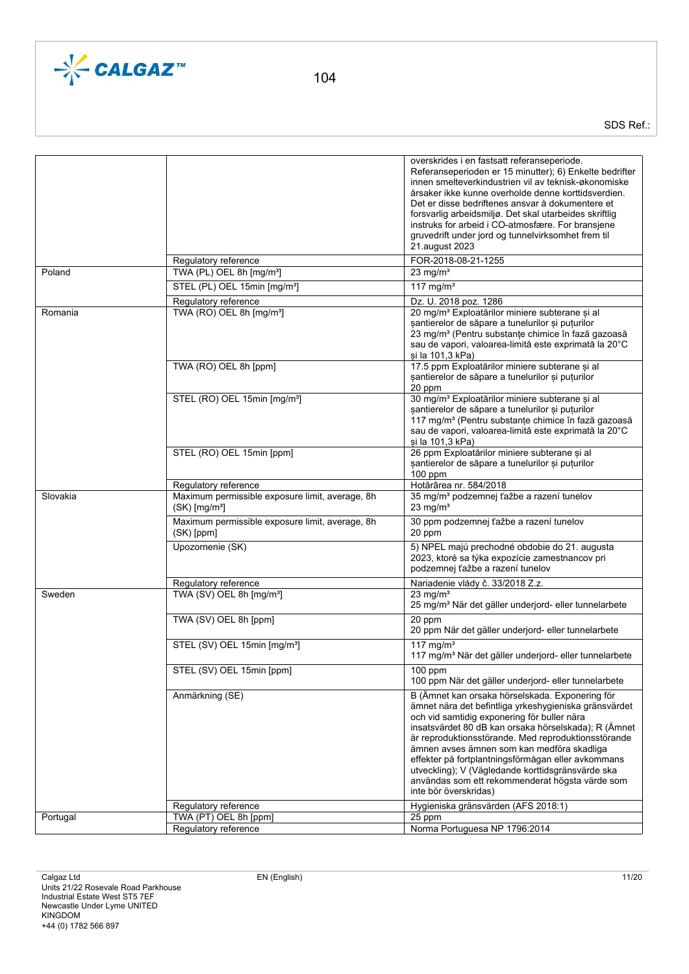

|          |                                                                                | overskrides i en fastsatt referanseperiode.<br>Referanseperioden er 15 minutter); 6) Enkelte bedrifter<br>innen smelteverkindustrien vil av teknisk-økonomiske<br>årsaker ikke kunne overholde denne korttidsverdien.<br>Det er disse bedriftenes ansvar å dokumentere et<br>forsvarlig arbeidsmiljø. Det skal utarbeides skriftlig<br>instruks for arbeid i CO-atmosfære. For bransjene<br>gruvedrift under jord og tunnelvirksomhet frem til<br>21.august 2023                                            |
|----------|--------------------------------------------------------------------------------|-------------------------------------------------------------------------------------------------------------------------------------------------------------------------------------------------------------------------------------------------------------------------------------------------------------------------------------------------------------------------------------------------------------------------------------------------------------------------------------------------------------|
|          | Regulatory reference                                                           | FOR-2018-08-21-1255                                                                                                                                                                                                                                                                                                                                                                                                                                                                                         |
| Poland   | TWA (PL) OEL 8h [mg/m <sup>3</sup> ]                                           | $23 \text{ mg/m}^3$                                                                                                                                                                                                                                                                                                                                                                                                                                                                                         |
|          | STEL (PL) OEL 15min [mg/m <sup>3</sup> ]                                       | $117 \text{ mg/m}^3$                                                                                                                                                                                                                                                                                                                                                                                                                                                                                        |
|          | Regulatory reference                                                           | Dz. U. 2018 poz. 1286                                                                                                                                                                                                                                                                                                                                                                                                                                                                                       |
| Romania  | TWA (RO) OEL 8h [mg/m <sup>3</sup> ]                                           | 20 mg/m <sup>3</sup> Exploatărilor miniere subterane și al<br>santierelor de săpare a tunelurilor și puțurilor<br>23 mg/m <sup>3</sup> (Pentru substanțe chimice în fază gazoasă<br>sau de vapori, valoarea-limită este exprimată la 20°C<br>si la 101,3 kPa)                                                                                                                                                                                                                                               |
|          | TWA (RO) OEL 8h [ppm]                                                          | 17.5 ppm Exploatărilor miniere subterane și al<br>șantierelor de săpare a tunelurilor și puțurilor<br>20 ppm                                                                                                                                                                                                                                                                                                                                                                                                |
|          | STEL (RO) OEL 15min [mg/m <sup>3</sup> ]                                       | 30 mg/m <sup>3</sup> Exploatărilor miniere subterane și al<br>șantierelor de săpare a tunelurilor și puțurilor<br>117 mg/m <sup>3</sup> (Pentru substanțe chimice în fază gazoasă<br>sau de vapori, valoarea-limită este exprimată la 20°C<br>si la 101,3 kPa)                                                                                                                                                                                                                                              |
|          | STEL (RO) OEL 15min [ppm]                                                      | 26 ppm Exploatărilor miniere subterane și al<br>santierelor de săpare a tunelurilor și puțurilor<br>$100$ ppm                                                                                                                                                                                                                                                                                                                                                                                               |
|          | Regulatory reference                                                           | Hotărârea nr. 584/2018                                                                                                                                                                                                                                                                                                                                                                                                                                                                                      |
| Slovakia | Maximum permissible exposure limit, average, 8h<br>$(SK)$ [mg/m <sup>3</sup> ] | 35 mg/m <sup>3</sup> podzemnej ťažbe a razení tunelov<br>23 mg/ $m3$                                                                                                                                                                                                                                                                                                                                                                                                                                        |
|          | Maximum permissible exposure limit, average, 8h<br>$(SK)$ [ppm]                | 30 ppm podzemnej ťažbe a razení tunelov<br>20 ppm                                                                                                                                                                                                                                                                                                                                                                                                                                                           |
|          | Upozornenie (SK)                                                               | 5) NPEL majú prechodné obdobie do 21. augusta<br>2023, ktoré sa týka expozície zamestnancov pri<br>podzemnej ťažbe a razení tunelov                                                                                                                                                                                                                                                                                                                                                                         |
|          | Regulatory reference                                                           | Nariadenie vlády č. 33/2018 Z.z.                                                                                                                                                                                                                                                                                                                                                                                                                                                                            |
| Sweden   | TWA (SV) OEL 8h [mg/m <sup>3</sup> ]                                           | $23 \text{ mg/m}^3$<br>25 mg/m <sup>3</sup> När det gäller underjord- eller tunnelarbete                                                                                                                                                                                                                                                                                                                                                                                                                    |
|          | TWA (SV) OEL 8h [ppm]                                                          | 20 ppm<br>20 ppm När det gäller underjord- eller tunnelarbete                                                                                                                                                                                                                                                                                                                                                                                                                                               |
|          | STEL (SV) OEL 15min [mg/m <sup>3</sup> ]                                       | $117 \text{ ma/m}^3$<br>117 mg/m <sup>3</sup> När det gäller underjord- eller tunnelarbete                                                                                                                                                                                                                                                                                                                                                                                                                  |
|          | STEL (SV) OEL 15min [ppm]                                                      | $100$ ppm<br>100 ppm När det gäller underjord- eller tunnelarbete                                                                                                                                                                                                                                                                                                                                                                                                                                           |
|          | Anmärkning (SE)                                                                | B (Ämnet kan orsaka hörselskada. Exponering för<br>ämnet nära det befintliga yrkeshygieniska gränsvärdet<br>och vid samtidig exponering för buller nära<br>insatsvärdet 80 dB kan orsaka hörselskada); R (Ämnet<br>är reproduktionsstörande. Med reproduktionsstörande<br>ämnen avses ämnen som kan medföra skadliga<br>effekter på fortplantningsförmågan eller avkommans<br>utveckling); V (Vägledande korttidsgränsvärde ska<br>användas som ett rekommenderat högsta värde som<br>inte bör överskridas) |
|          | Regulatory reference                                                           | Hygieniska gränsvärden (AFS 2018:1)                                                                                                                                                                                                                                                                                                                                                                                                                                                                         |
| Portugal | TWA (PT) OEL 8h [ppm]<br>Regulatory reference                                  | 25 ppm<br>Norma Portuguesa NP 1796:2014                                                                                                                                                                                                                                                                                                                                                                                                                                                                     |
|          |                                                                                |                                                                                                                                                                                                                                                                                                                                                                                                                                                                                                             |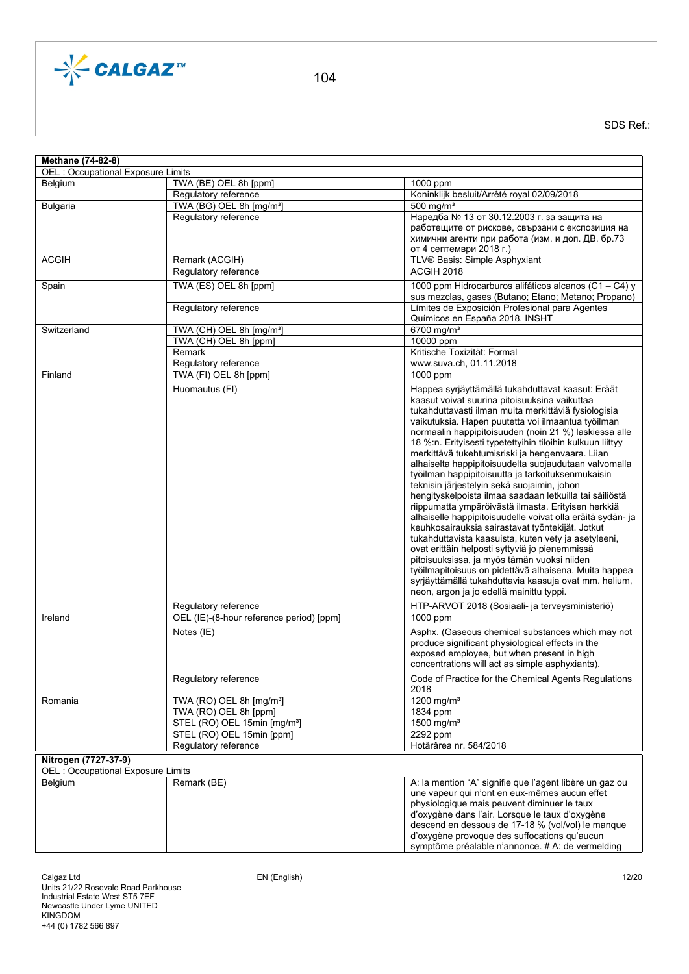

| Methane (74-82-8)                        |                                                               |                                                                                                              |
|------------------------------------------|---------------------------------------------------------------|--------------------------------------------------------------------------------------------------------------|
| OEL : Occupational Exposure Limits       |                                                               |                                                                                                              |
| Belgium                                  | TWA (BE) OEL 8h [ppm]                                         | 1000 ppm                                                                                                     |
|                                          | Regulatory reference                                          | Koninklijk besluit/Arrêté royal 02/09/2018                                                                   |
| <b>Bulgaria</b>                          | TWA (BG) OEL 8h [mg/m <sup>3</sup> ]                          | $500$ mg/m <sup>3</sup>                                                                                      |
|                                          | Regulatory reference                                          | Наредба № 13 от 30.12.2003 г. за защита на                                                                   |
|                                          |                                                               | работещите от рискове, свързани с експозиция на                                                              |
|                                          |                                                               | химични агенти при работа (изм. и доп. ДВ. бр.73                                                             |
|                                          |                                                               | от 4 септември 2018 г.)                                                                                      |
| <b>ACGIH</b>                             | Remark (ACGIH)                                                | TLV® Basis: Simple Asphyxiant                                                                                |
|                                          | Regulatory reference                                          | ACGIH 2018                                                                                                   |
| Spain                                    | TWA (ES) OEL 8h [ppm]                                         | 1000 ppm Hidrocarburos alifáticos alcanos (C1 - C4) y<br>sus mezclas, gases (Butano; Etano; Metano; Propano) |
|                                          | Regulatory reference                                          | Límites de Exposición Profesional para Agentes<br>Químicos en España 2018. INSHT                             |
| Switzerland                              | TWA (CH) OEL 8h [mg/m <sup>3</sup> ]                          | 6700 mg/m <sup>3</sup>                                                                                       |
|                                          | TWA (CH) OEL 8h [ppm]                                         | 10000 ppm                                                                                                    |
|                                          | Remark                                                        | Kritische Toxizität: Formal                                                                                  |
|                                          | Regulatory reference                                          | www.suva.ch, 01.11.2018                                                                                      |
| Finland                                  | TWA (FI) OEL 8h [ppm]                                         | 1000 ppm                                                                                                     |
|                                          | Huomautus (FI)                                                | Happea syrjäyttämällä tukahduttavat kaasut: Eräät                                                            |
|                                          |                                                               | kaasut voivat suurina pitoisuuksina vaikuttaa                                                                |
|                                          |                                                               | tukahduttavasti ilman muita merkittäviä fysiologisia                                                         |
|                                          |                                                               | vaikutuksia. Hapen puutetta voi ilmaantua työilman                                                           |
|                                          |                                                               | normaalin happipitoisuuden (noin 21 %) laskiessa alle                                                        |
|                                          |                                                               | 18 %:n. Erityisesti typetettyihin tiloihin kulkuun liittyy                                                   |
|                                          |                                                               | merkittävä tukehtumisriski ja hengenvaara. Liian                                                             |
|                                          |                                                               | alhaiselta happipitoisuudelta suojaudutaan valvomalla                                                        |
|                                          |                                                               | työilman happipitoisuutta ja tarkoituksenmukaisin<br>teknisin järjestelyin sekä suojaimin, johon             |
|                                          |                                                               | hengityskelpoista ilmaa saadaan letkuilla tai säiliöstä                                                      |
|                                          |                                                               | riippumatta ympäröivästä ilmasta. Erityisen herkkiä                                                          |
|                                          |                                                               | alhaiselle happipitoisuudelle voivat olla eräitä sydän- ja                                                   |
|                                          |                                                               | keuhkosairauksia sairastavat työntekijät. Jotkut                                                             |
|                                          |                                                               | tukahduttavista kaasuista, kuten vety ja asetyleeni,                                                         |
|                                          |                                                               | ovat erittäin helposti syttyviä jo pienemmissä                                                               |
|                                          |                                                               | pitoisuuksissa, ja myös tämän vuoksi niiden                                                                  |
|                                          |                                                               | työilmapitoisuus on pidettävä alhaisena. Muita happea                                                        |
|                                          |                                                               | syrjäyttämällä tukahduttavia kaasuja ovat mm. helium,                                                        |
|                                          |                                                               | neon, argon ja jo edellä mainittu typpi.                                                                     |
|                                          | Regulatory reference                                          | HTP-ARVOT 2018 (Sosiaali- ja terveysministeriö)                                                              |
| Ireland                                  | OEL (IE)-(8-hour reference period) [ppm]                      | 1000 ppm                                                                                                     |
|                                          | Notes (IE)                                                    | Asphx. (Gaseous chemical substances which may not                                                            |
|                                          |                                                               | produce significant physiological effects in the                                                             |
|                                          |                                                               | exposed employee, but when present in high                                                                   |
|                                          |                                                               | concentrations will act as simple asphyxiants).                                                              |
|                                          | Regulatory reference                                          | Code of Practice for the Chemical Agents Regulations                                                         |
|                                          |                                                               | 2018<br>1200 mg/m <sup>3</sup>                                                                               |
| Romania                                  | TWA (RO) OEL 8h [mg/m <sup>3</sup> ]<br>TWA (RO) OEL 8h [ppm] | 1834 ppm                                                                                                     |
|                                          | STEL (RO) OEL 15min [mg/m <sup>3</sup> ]                      | 1500 mg/m $3$                                                                                                |
|                                          | STEL (RO) OEL 15min [ppm]                                     | 2292 ppm                                                                                                     |
|                                          | Regulatory reference                                          | Hotărârea nr. 584/2018                                                                                       |
| Nitrogen (7727-37-9)                     |                                                               |                                                                                                              |
| <b>OEL: Occupational Exposure Limits</b> |                                                               |                                                                                                              |
| Belgium                                  | Remark (BE)                                                   | A: la mention "A" signifie que l'agent libère un gaz ou                                                      |
|                                          |                                                               | une vapeur qui n'ont en eux-mêmes aucun effet                                                                |
|                                          |                                                               | physiologique mais peuvent diminuer le taux                                                                  |
|                                          |                                                               | d'oxygène dans l'air. Lorsque le taux d'oxygène                                                              |
|                                          |                                                               | descend en dessous de 17-18 % (vol/vol) le manque                                                            |
|                                          |                                                               | d'oxygène provoque des suffocations qu'aucun                                                                 |
|                                          |                                                               | symptôme préalable n'annonce. # A: de vermelding                                                             |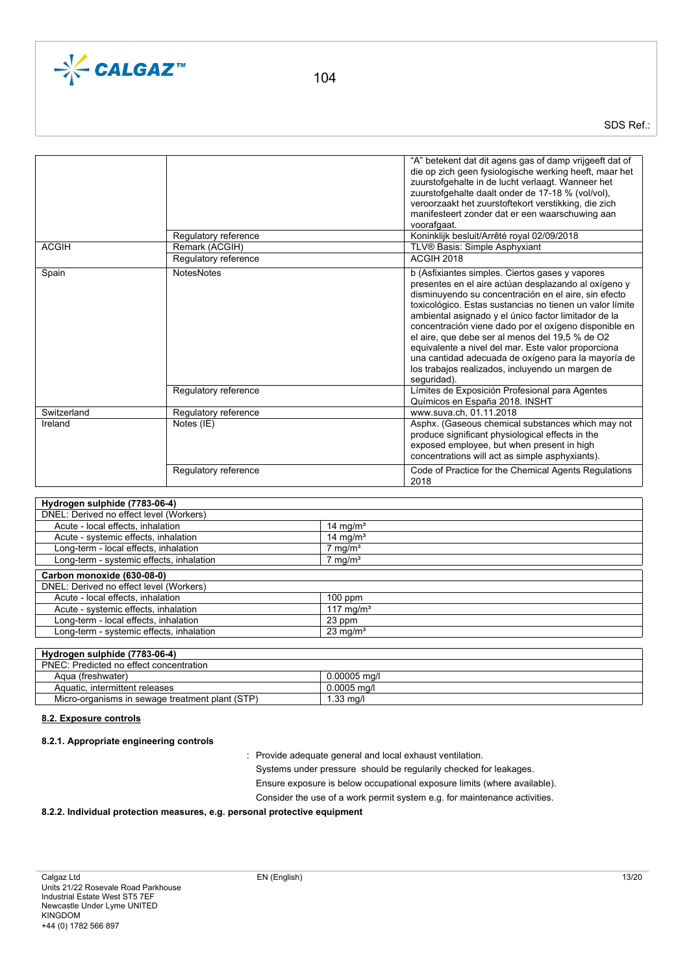

SDS Ref.:

| <b>ACGIH</b> | Regulatory reference<br>Remark (ACGIH)<br>Regulatory reference | "A" betekent dat dit agens gas of damp vrijgeeft dat of<br>die op zich geen fysiologische werking heeft, maar het<br>zuurstofgehalte in de lucht verlaagt. Wanneer het<br>zuurstofgehalte daalt onder de 17-18 % (vol/vol),<br>veroorzaakt het zuurstoftekort verstikking, die zich<br>manifesteert zonder dat er een waarschuwing aan<br>voorafgaat.<br>Koninklijk besluit/Arrêté royal 02/09/2018<br>TLV® Basis: Simple Asphyxiant<br><b>ACGIH 2018</b>                                                                                                                        |
|--------------|----------------------------------------------------------------|----------------------------------------------------------------------------------------------------------------------------------------------------------------------------------------------------------------------------------------------------------------------------------------------------------------------------------------------------------------------------------------------------------------------------------------------------------------------------------------------------------------------------------------------------------------------------------|
| Spain        | <b>NotesNotes</b>                                              | b (Asfixiantes simples. Ciertos gases y vapores<br>presentes en el aire actúan desplazando al oxígeno y<br>disminuyendo su concentración en el aire, sin efecto<br>toxicológico. Estas sustancias no tienen un valor límite<br>ambiental asignado y el único factor limitador de la<br>concentración viene dado por el oxígeno disponible en<br>el aire, que debe ser al menos del 19,5 % de O2<br>equivalente a nivel del mar. Este valor proporciona<br>una cantidad adecuada de oxígeno para la mayoría de<br>los trabajos realizados, incluyendo un margen de<br>sequridad). |
|              | Regulatory reference                                           | Límites de Exposición Profesional para Agentes<br>Químicos en España 2018. INSHT                                                                                                                                                                                                                                                                                                                                                                                                                                                                                                 |
| Switzerland  | Regulatory reference                                           | www.suva.ch, 01.11.2018                                                                                                                                                                                                                                                                                                                                                                                                                                                                                                                                                          |
| Ireland      | Notes (IE)                                                     | Asphx. (Gaseous chemical substances which may not<br>produce significant physiological effects in the<br>exposed employee, but when present in high<br>concentrations will act as simple asphyxiants).                                                                                                                                                                                                                                                                                                                                                                           |
|              | Regulatory reference                                           | Code of Practice for the Chemical Agents Regulations<br>2018                                                                                                                                                                                                                                                                                                                                                                                                                                                                                                                     |

# **Hydrogen sulphide (7783-06-4)**

| 14 mg/ $m3$           |
|-----------------------|
| 14 mg/ $m3$           |
| $7 \text{ mg/m}^3$    |
| $7 \text{ mg/m}^3$    |
|                       |
|                       |
|                       |
| $100$ ppm             |
| 117 mg/m <sup>3</sup> |
| 23 ppm                |
| $23 \text{ mg/m}^3$   |
|                       |

# **Hydrogen sulphide (7783-06-4)**

| PNEC: Predicted no effect concentration         |                |
|-------------------------------------------------|----------------|
| Agua (freshwater)                               | $0.00005$ ma/l |
| Aquatic. intermittent releases                  | $0.0005$ ma/l  |
| Micro-organisms in sewage treatment plant (STP) | .33 ma/l       |

### **8.2. Exposure controls**

# **8.2.1. Appropriate engineering controls**

: Provide adequate general and local exhaust ventilation.

Systems under pressure should be regularily checked for leakages.

Ensure exposure is below occupational exposure limits (where available).

Consider the use of a work permit system e.g. for maintenance activities.

### **8.2.2. Individual protection measures, e.g. personal protective equipment**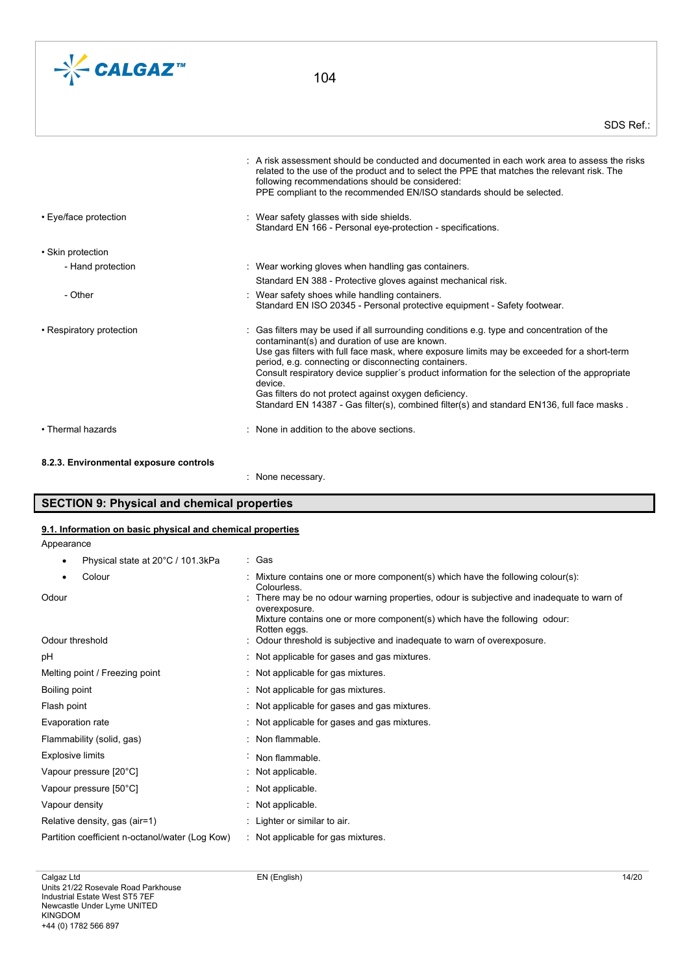

|                          | $\pm$ A risk assessment should be conducted and documented in each work area to assess the risks<br>related to the use of the product and to select the PPE that matches the relevant risk. The<br>following recommendations should be considered:<br>PPE compliant to the recommended EN/ISO standards should be selected.                                                                                                                                                                                                                                          |
|--------------------------|----------------------------------------------------------------------------------------------------------------------------------------------------------------------------------------------------------------------------------------------------------------------------------------------------------------------------------------------------------------------------------------------------------------------------------------------------------------------------------------------------------------------------------------------------------------------|
| • Eye/face protection    | : Wear safety glasses with side shields.<br>Standard EN 166 - Personal eye-protection - specifications.                                                                                                                                                                                                                                                                                                                                                                                                                                                              |
| • Skin protection        |                                                                                                                                                                                                                                                                                                                                                                                                                                                                                                                                                                      |
| - Hand protection        | : Wear working gloves when handling gas containers.<br>Standard EN 388 - Protective gloves against mechanical risk.                                                                                                                                                                                                                                                                                                                                                                                                                                                  |
| - Other                  | : Wear safety shoes while handling containers.<br>Standard EN ISO 20345 - Personal protective equipment - Safety footwear.                                                                                                                                                                                                                                                                                                                                                                                                                                           |
| • Respiratory protection | Gas filters may be used if all surrounding conditions e.g. type and concentration of the<br>contaminant(s) and duration of use are known.<br>Use gas filters with full face mask, where exposure limits may be exceeded for a short-term<br>period, e.g. connecting or disconnecting containers.<br>Consult respiratory device supplier's product information for the selection of the appropriate<br>device.<br>Gas filters do not protect against oxygen deficiency.<br>Standard EN 14387 - Gas filter(s), combined filter(s) and standard EN136, full face masks. |
| • Thermal hazards        | : None in addition to the above sections.                                                                                                                                                                                                                                                                                                                                                                                                                                                                                                                            |

# **8.2.3. Environmental exposure controls**

: None necessary.

# **SECTION 9: Physical and chemical properties**

# **9.1. Information on basic physical and chemical properties**

| ********************** |   |  |
|------------------------|---|--|
| Appearance             |   |  |
|                        |   |  |
|                        | . |  |

• Physical state at 20°C / 101.3kPa : Gas

| : Mixture contains one or more component(s) which have the following colour(s):<br>Colourless.             |
|------------------------------------------------------------------------------------------------------------|
| : There may be no odour warning properties, odour is subjective and inadequate to warn of<br>overexposure. |
| Mixture contains one or more component(s) which have the following odour:<br>Rotten eggs.                  |
| : Odour threshold is subjective and inadequate to warn of overexposure.                                    |
| : Not applicable for gases and gas mixtures.                                                               |
| : Not applicable for gas mixtures.                                                                         |
| : Not applicable for gas mixtures.                                                                         |
| : Not applicable for gases and gas mixtures.                                                               |
| : Not applicable for gases and gas mixtures.                                                               |
| : Non flammable.                                                                                           |
| : Non flammable.                                                                                           |
| $:$ Not applicable.                                                                                        |
| : Not applicable.                                                                                          |
| : Not applicable.                                                                                          |
| : Lighter or similar to air.                                                                               |
| : Not applicable for gas mixtures.                                                                         |
|                                                                                                            |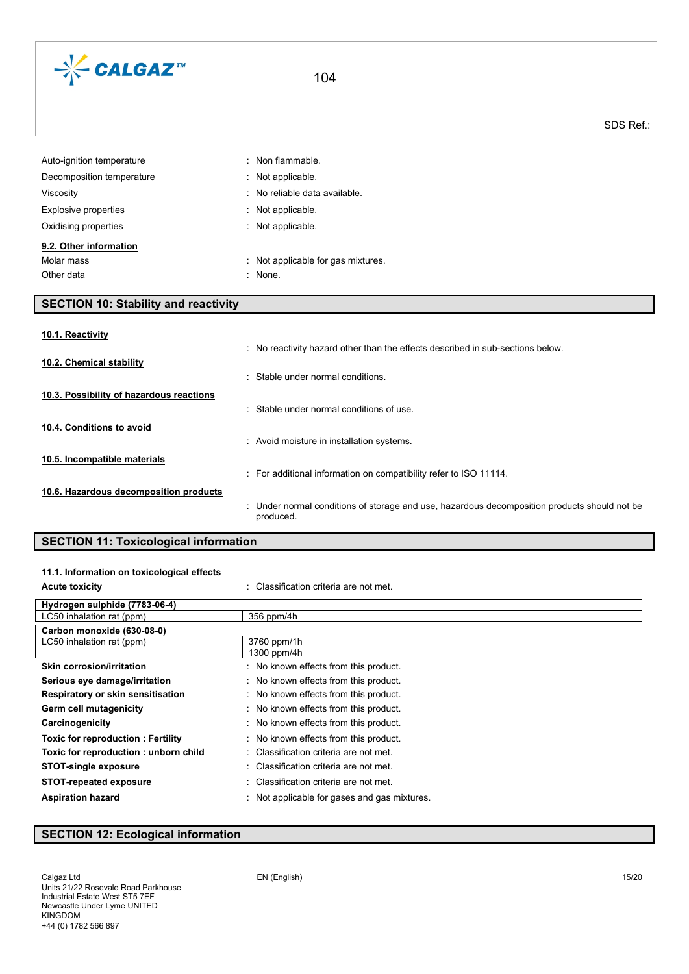

| $:$ Non flammable.                 |
|------------------------------------|
| $\therefore$ Not applicable.       |
| : No reliable data available.      |
| $:$ Not applicable.                |
| : Not applicable.                  |
|                                    |
| : Not applicable for gas mixtures. |
| : None.                            |
|                                    |

# **SECTION 10: Stability and reactivity**

| 10.1. Reactivity                         |                                                                                                           |
|------------------------------------------|-----------------------------------------------------------------------------------------------------------|
|                                          | : No reactivity hazard other than the effects described in sub-sections below.                            |
| 10.2. Chemical stability                 | : Stable under normal conditions.                                                                         |
| 10.3. Possibility of hazardous reactions |                                                                                                           |
|                                          | : Stable under normal conditions of use.                                                                  |
| 10.4. Conditions to avoid                |                                                                                                           |
|                                          | : Avoid moisture in installation systems.                                                                 |
| 10.5. Incompatible materials             |                                                                                                           |
|                                          | : For additional information on compatibility refer to ISO 11114.                                         |
| 10.6. Hazardous decomposition products   |                                                                                                           |
|                                          | : Under normal conditions of storage and use, hazardous decomposition products should not be<br>produced. |
|                                          |                                                                                                           |

# **SECTION 11: Toxicological information**

| 11.1. Information on toxicological effects |                                              |
|--------------------------------------------|----------------------------------------------|
| <b>Acute toxicity</b>                      | : Classification criteria are not met.       |
| Hydrogen sulphide (7783-06-4)              |                                              |
| LC50 inhalation rat (ppm)                  | 356 ppm/4h                                   |
| Carbon monoxide (630-08-0)                 |                                              |
| LC50 inhalation rat (ppm)                  | 3760 ppm/1h<br>1300 ppm/4h                   |
| <b>Skin corrosion/irritation</b>           | : No known effects from this product.        |
| Serious eye damage/irritation              | : No known effects from this product.        |
| Respiratory or skin sensitisation          | : No known effects from this product.        |
| Germ cell mutagenicity                     | : No known effects from this product.        |
| Carcinogenicity                            | : No known effects from this product.        |
| <b>Toxic for reproduction: Fertility</b>   | : No known effects from this product.        |
| Toxic for reproduction: unborn child       | : Classification criteria are not met.       |
| <b>STOT-single exposure</b>                | : Classification criteria are not met.       |
| <b>STOT-repeated exposure</b>              | : Classification criteria are not met.       |
| <b>Aspiration hazard</b>                   | : Not applicable for gases and gas mixtures. |

# **SECTION 12: Ecological information**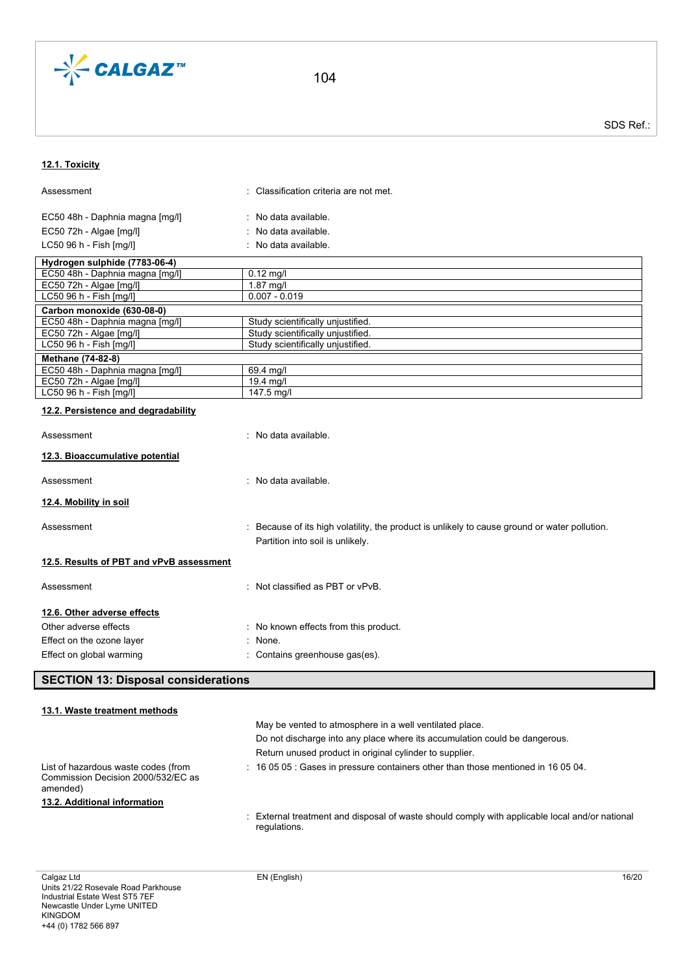

SDS Ref.:

# **12.1. Toxicity**

| Assessment                                                                            | : Classification criteria are not met.                                                                                            |
|---------------------------------------------------------------------------------------|-----------------------------------------------------------------------------------------------------------------------------------|
| EC50 48h - Daphnia magna [mg/l]                                                       | : No data available.                                                                                                              |
| EC50 72h - Algae [mg/l]                                                               | No data available.                                                                                                                |
| LC50 96 h - Fish [mg/l]                                                               | : No data available.                                                                                                              |
|                                                                                       |                                                                                                                                   |
| Hydrogen sulphide (7783-06-4)                                                         |                                                                                                                                   |
| EC50 48h - Daphnia magna [mg/l]<br>EC50 72h - Algae [mg/l]                            | $0.12 \text{ mg/l}$<br>1.87 mg/l                                                                                                  |
| LC50 96 h - Fish [mg/l]                                                               | $0.007 - 0.019$                                                                                                                   |
| Carbon monoxide (630-08-0)                                                            |                                                                                                                                   |
| EC50 48h - Daphnia magna [mg/l]                                                       | Study scientifically unjustified.                                                                                                 |
| EC50 72h - Algae [mg/l]                                                               | Study scientifically unjustified.                                                                                                 |
| LC50 96 h - Fish [mg/l]                                                               | Study scientifically unjustified.                                                                                                 |
| Methane (74-82-8)                                                                     |                                                                                                                                   |
| EC50 48h - Daphnia magna [mg/l]                                                       | 69.4 mg/l                                                                                                                         |
| EC50 72h - Algae [mg/l]                                                               | 19.4 mg/l                                                                                                                         |
| LC50 96 h - Fish [mg/l]                                                               | 147.5 mg/l                                                                                                                        |
| 12.2. Persistence and degradability                                                   |                                                                                                                                   |
| Assessment                                                                            | : No data available.                                                                                                              |
| 12.3. Bioaccumulative potential                                                       |                                                                                                                                   |
| Assessment                                                                            | : No data available.                                                                                                              |
| 12.4. Mobility in soil                                                                |                                                                                                                                   |
| Assessment                                                                            | : Because of its high volatility, the product is unlikely to cause ground or water pollution.<br>Partition into soil is unlikely. |
| 12.5. Results of PBT and vPvB assessment                                              |                                                                                                                                   |
| Assessment                                                                            | : Not classified as PBT or vPvB.                                                                                                  |
| 12.6. Other adverse effects                                                           |                                                                                                                                   |
| Other adverse effects                                                                 | : No known effects from this product.                                                                                             |
| Effect on the ozone layer                                                             | $:$ None.                                                                                                                         |
| Effect on global warming                                                              | : Contains greenhouse gas(es).                                                                                                    |
|                                                                                       |                                                                                                                                   |
| <b>SECTION 13: Disposal considerations</b>                                            |                                                                                                                                   |
| 13.1. Waste treatment methods                                                         |                                                                                                                                   |
|                                                                                       | May be vented to atmosphere in a well ventilated place.                                                                           |
|                                                                                       | Do not discharge into any place where its accumulation could be dangerous.                                                        |
|                                                                                       | Return unused product in original cylinder to supplier.                                                                           |
|                                                                                       |                                                                                                                                   |
| List of hazardous waste codes (from<br>Commission Decision 2000/532/EC as<br>amended) | : 16 05 05 : Gases in pressure containers other than those mentioned in 16 05 04.                                                 |
| 13.2. Additional information                                                          |                                                                                                                                   |
|                                                                                       | External treatment and disposal of waste should comply with applicable local and/or national<br>regulations.                      |
|                                                                                       |                                                                                                                                   |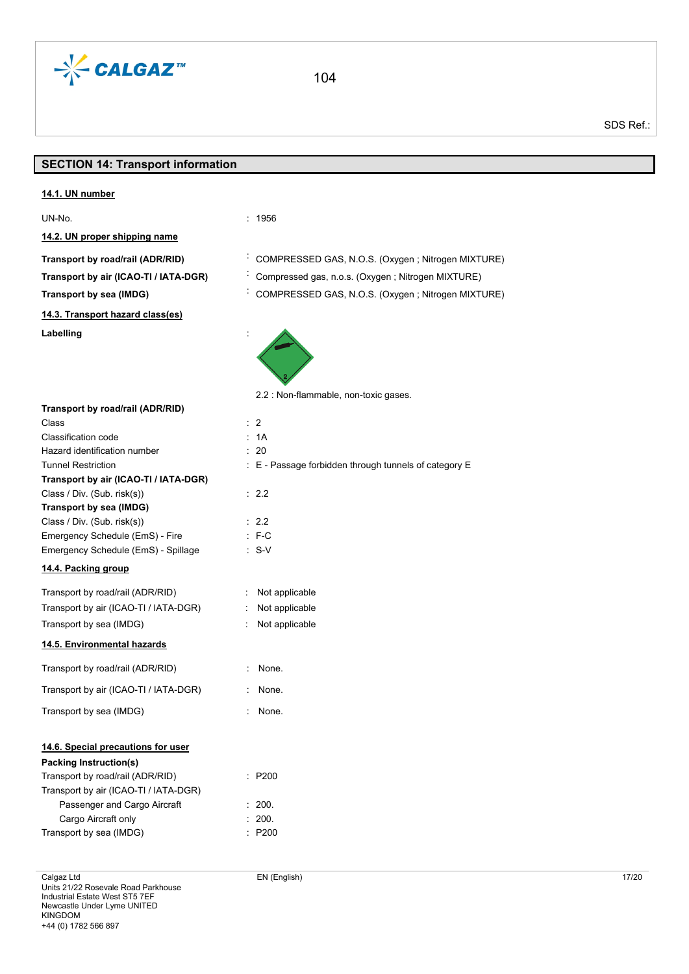

# **SECTION 14: Transport information**

| 14.1. UN number<br>UN-No.<br>: 1956<br>14.2. UN proper shipping name<br>COMPRESSED GAS, N.O.S. (Oxygen; Nitrogen MIXTURE)<br>Transport by road/rail (ADR/RID)<br>Compressed gas, n.o.s. (Oxygen; Nitrogen MIXTURE)<br>Transport by air (ICAO-TI / IATA-DGR) |  |
|-------------------------------------------------------------------------------------------------------------------------------------------------------------------------------------------------------------------------------------------------------------|--|
|                                                                                                                                                                                                                                                             |  |
|                                                                                                                                                                                                                                                             |  |
|                                                                                                                                                                                                                                                             |  |
|                                                                                                                                                                                                                                                             |  |
|                                                                                                                                                                                                                                                             |  |
| COMPRESSED GAS, N.O.S. (Oxygen; Nitrogen MIXTURE)<br><b>Transport by sea (IMDG)</b>                                                                                                                                                                         |  |
| 14.3. Transport hazard class(es)                                                                                                                                                                                                                            |  |
| Labelling                                                                                                                                                                                                                                                   |  |
| 2.2 : Non-flammable, non-toxic gases.                                                                                                                                                                                                                       |  |
| Transport by road/rail (ADR/RID)                                                                                                                                                                                                                            |  |
| $\therefore$ 2<br>Class                                                                                                                                                                                                                                     |  |
| Classification code<br>: 1A                                                                                                                                                                                                                                 |  |
| $\therefore$ 20<br>Hazard identification number                                                                                                                                                                                                             |  |
| <b>Tunnel Restriction</b><br>: E - Passage forbidden through tunnels of category E                                                                                                                                                                          |  |
| Transport by air (ICAO-TI / IATA-DGR)                                                                                                                                                                                                                       |  |
| Class / Div. (Sub. risk(s))<br>$\therefore$ 2.2                                                                                                                                                                                                             |  |
| Transport by sea (IMDG)                                                                                                                                                                                                                                     |  |
| Class / Div. (Sub. risk(s))<br>: 2.2                                                                                                                                                                                                                        |  |
| Emergency Schedule (EmS) - Fire<br>$\therefore$ F-C                                                                                                                                                                                                         |  |
| Emergency Schedule (EmS) - Spillage<br>$\cdot$ S-V                                                                                                                                                                                                          |  |
| 14.4. Packing group                                                                                                                                                                                                                                         |  |
| Transport by road/rail (ADR/RID)<br>: Not applicable                                                                                                                                                                                                        |  |
| Transport by air (ICAO-TI / IATA-DGR)<br>Not applicable                                                                                                                                                                                                     |  |
| Transport by sea (IMDG)<br>Not applicable                                                                                                                                                                                                                   |  |
| 14.5. Environmental hazards                                                                                                                                                                                                                                 |  |
| Transport by road/rail (ADR/RID)<br>: None.                                                                                                                                                                                                                 |  |
| Transport by air (ICAO-TI / IATA-DGR)<br>None.                                                                                                                                                                                                              |  |
| Transport by sea (IMDG)<br>None.                                                                                                                                                                                                                            |  |
| 14.6. Special precautions for user                                                                                                                                                                                                                          |  |
| <b>Packing Instruction(s)</b>                                                                                                                                                                                                                               |  |
| Transport by road/rail (ADR/RID)<br>: P200                                                                                                                                                                                                                  |  |
| Transport by air (ICAO-TI / IATA-DGR)                                                                                                                                                                                                                       |  |
| Passenger and Cargo Aircraft<br>: 200.                                                                                                                                                                                                                      |  |
| Cargo Aircraft only<br>200.                                                                                                                                                                                                                                 |  |
| P200<br>Transport by sea (IMDG)                                                                                                                                                                                                                             |  |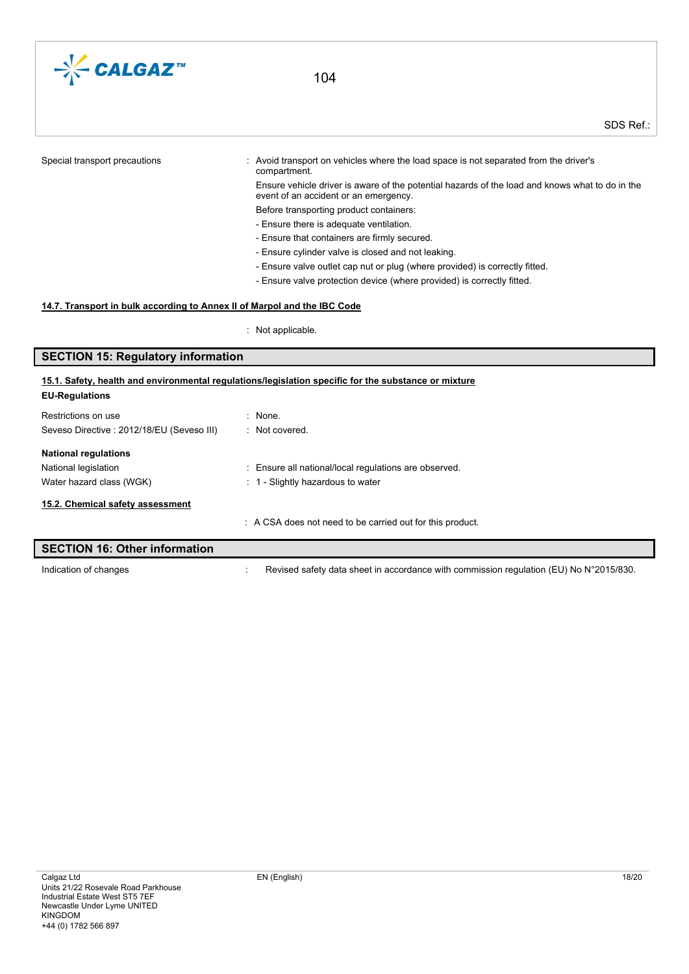

| Special transport precautions | Avoid transport on vehicles where the load space is not separated from the driver's<br>compartment.                                      |
|-------------------------------|------------------------------------------------------------------------------------------------------------------------------------------|
|                               | Ensure vehicle driver is aware of the potential hazards of the load and knows what to do in the<br>event of an accident or an emergency. |
|                               | Before transporting product containers:                                                                                                  |
|                               | - Ensure there is adequate ventilation.                                                                                                  |
|                               | - Ensure that containers are firmly secured.                                                                                             |
|                               | - Ensure cylinder valve is closed and not leaking.                                                                                       |
|                               | - Ensure valve outlet cap nut or plug (where provided) is correctly fitted.                                                              |
|                               | - Ensure valve protection device (where provided) is correctly fitted.                                                                   |
|                               |                                                                                                                                          |

# **14.7. Transport in bulk according to Annex II of Marpol and the IBC Code**

: Not applicable.

# **SECTION 15: Regulatory information**

# **EU-Regulations** Restrictions on use in the set of the set of the set of the set of the set of the set of the set of the set of the set of the set of the set of the set of the set of the set of the set of the set of the set of the set of t Seveso Directive : 2012/18/EU (Seveso III) : Not covered. **National regulations** National legislation **interval in the Community Community** Ensure all national/local regulations are observed. Water hazard class (WGK)  $\cdot$  1 - Slightly hazardous to water : A CSA does not need to be carried out for this product. **15.1. Safety, health and environmental regulations/legislation specific for the substance or mixture 15.2. Chemical safety assessment**

| SECTION 16: Other information |                                                                                        |
|-------------------------------|----------------------------------------------------------------------------------------|
| Indication of changes         | Revised safety data sheet in accordance with commission regulation (EU) No N°2015/830. |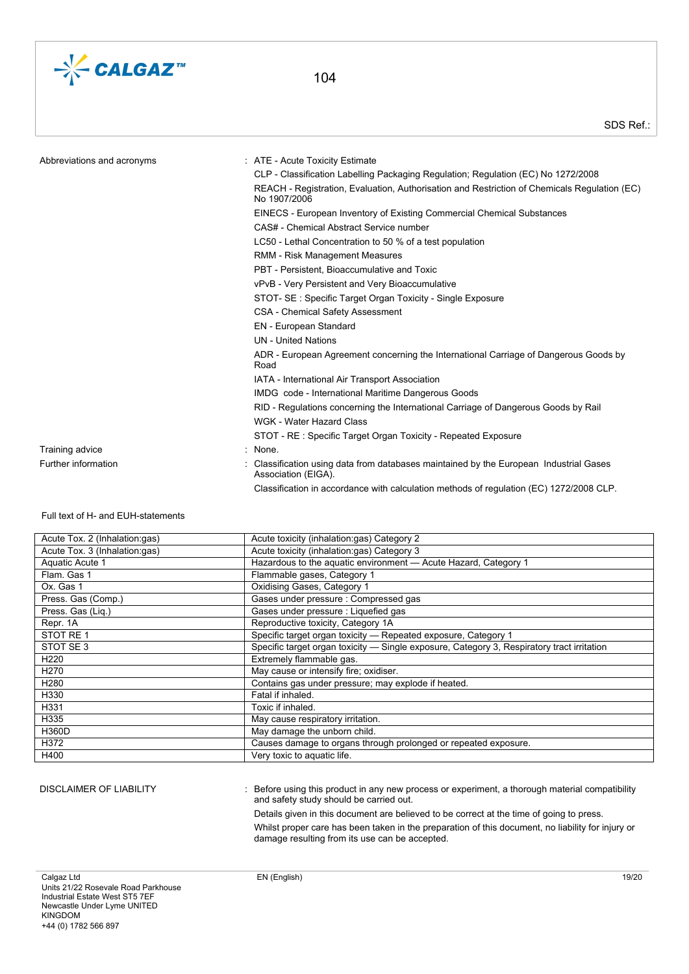

| Abbreviations and acronyms | : ATE - Acute Toxicity Estimate                                                                              |
|----------------------------|--------------------------------------------------------------------------------------------------------------|
|                            | CLP - Classification Labelling Packaging Regulation; Regulation (EC) No 1272/2008                            |
|                            | REACH - Registration, Evaluation, Authorisation and Restriction of Chemicals Regulation (EC)<br>No 1907/2006 |
|                            | EINECS - European Inventory of Existing Commercial Chemical Substances                                       |
|                            | CAS# - Chemical Abstract Service number                                                                      |
|                            | LC50 - Lethal Concentration to 50 % of a test population                                                     |
|                            | RMM - Risk Management Measures                                                                               |
|                            | PBT - Persistent. Bioaccumulative and Toxic                                                                  |
|                            | vPvB - Very Persistent and Very Bioaccumulative                                                              |
|                            | STOT- SE: Specific Target Organ Toxicity - Single Exposure                                                   |
|                            | CSA - Chemical Safety Assessment                                                                             |
|                            | EN - European Standard                                                                                       |
|                            | <b>UN</b> - United Nations                                                                                   |
|                            | ADR - European Agreement concerning the International Carriage of Dangerous Goods by<br>Road                 |
|                            | IATA - International Air Transport Association                                                               |
|                            | IMDG code - International Maritime Dangerous Goods                                                           |
|                            | RID - Regulations concerning the International Carriage of Dangerous Goods by Rail                           |
|                            | WGK - Water Hazard Class                                                                                     |
|                            | STOT - RE : Specific Target Organ Toxicity - Repeated Exposure                                               |
| Training advice            | None.                                                                                                        |
| Further information        | Classification using data from databases maintained by the European Industrial Gases<br>Association (EIGA)   |

Classification in accordance with calculation methods of regulation (EC) 1272/2008 CLP.

#### Full text of H- and EUH-statements

| Acute Tox. 2 (Inhalation:gas) | Acute toxicity (inhalation:gas) Category 2                                                 |
|-------------------------------|--------------------------------------------------------------------------------------------|
| Acute Tox. 3 (Inhalation:gas) | Acute toxicity (inhalation:gas) Category 3                                                 |
| Aquatic Acute 1               | Hazardous to the aquatic environment - Acute Hazard, Category 1                            |
| Flam, Gas 1                   | Flammable gases, Category 1                                                                |
| Ox. Gas 1                     | Oxidising Gases, Category 1                                                                |
| Press. Gas (Comp.)            | Gases under pressure : Compressed gas                                                      |
| Press. Gas (Lig.)             | Gases under pressure : Liquefied gas                                                       |
| Repr. 1A                      | Reproductive toxicity, Category 1A                                                         |
| STOT RE1                      | Specific target organ toxicity - Repeated exposure, Category 1                             |
| STOT SE 3                     | Specific target organ toxicity — Single exposure, Category 3, Respiratory tract irritation |
| H <sub>220</sub>              | Extremely flammable gas.                                                                   |
| H <sub>270</sub>              | May cause or intensify fire; oxidiser.                                                     |
| H <sub>280</sub>              | Contains gas under pressure; may explode if heated.                                        |
| H330                          | Fatal if inhaled.                                                                          |
| H331                          | Toxic if inhaled.                                                                          |
| H335                          | May cause respiratory irritation.                                                          |
| <b>H360D</b>                  | May damage the unborn child.                                                               |
| H372                          | Causes damage to organs through prolonged or repeated exposure.                            |
| H400                          | Very toxic to aquatic life.                                                                |
|                               |                                                                                            |

DISCLAIMER OF LIABILITY : Before using this product in any new process or experiment, a thorough material compatibility and safety study should be carried out.

> Details given in this document are believed to be correct at the time of going to press. Whilst proper care has been taken in the preparation of this document, no liability for injury or damage resulting from its use can be accepted.